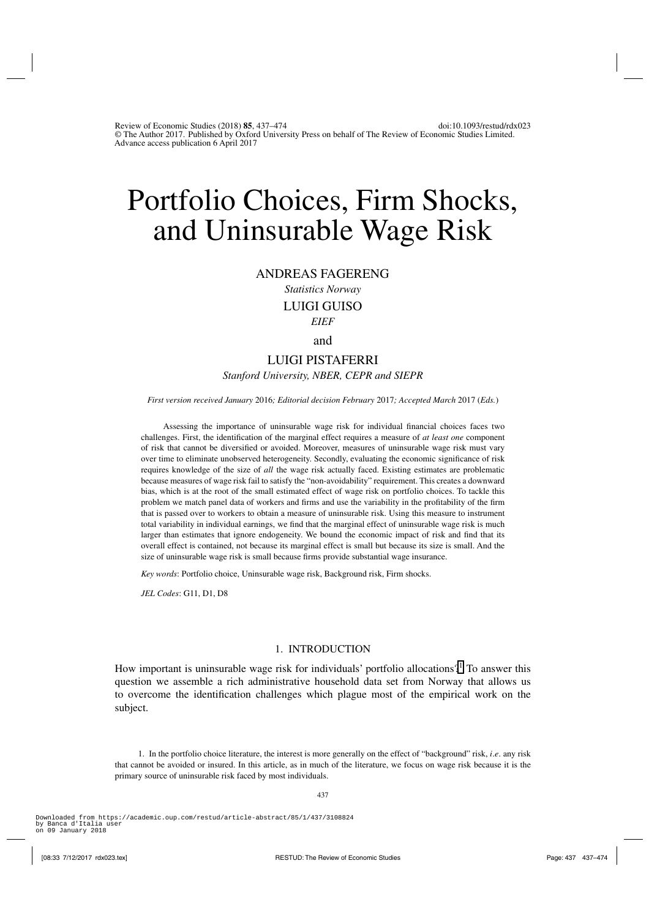# Portfolio Choices, Firm Shocks, and Uninsurable Wage Risk

ANDREAS FAGERENG

*Statistics Norway* LUIGI GUISO *EIEF*

and

# LUIGI PISTAFERRI

*Stanford University, NBER, CEPR and SIEPR*

*First version received January* 2016*; Editorial decision February* 2017*; Accepted March* 2017 (*Eds.*)

Assessing the importance of uninsurable wage risk for individual financial choices faces two challenges. First, the identification of the marginal effect requires a measure of *at least one* component of risk that cannot be diversified or avoided. Moreover, measures of uninsurable wage risk must vary over time to eliminate unobserved heterogeneity. Secondly, evaluating the economic significance of risk requires knowledge of the size of *all* the wage risk actually faced. Existing estimates are problematic because measures of wage risk fail to satisfy the "non-avoidability" requirement. This creates a downward bias, which is at the root of the small estimated effect of wage risk on portfolio choices. To tackle this problem we match panel data of workers and firms and use the variability in the profitability of the firm that is passed over to workers to obtain a measure of uninsurable risk. Using this measure to instrument total variability in individual earnings, we find that the marginal effect of uninsurable wage risk is much larger than estimates that ignore endogeneity. We bound the economic impact of risk and find that its overall effect is contained, not because its marginal effect is small but because its size is small. And the size of uninsurable wage risk is small because firms provide substantial wage insurance.

*Key words*: Portfolio choice, Uninsurable wage risk, Background risk, Firm shocks.

*JEL Codes*: G11, D1, D8

# 1. INTRODUCTION

How important is uninsurable wage risk for individuals' portfolio allocations?<sup>1</sup> To answer this question we assemble a rich administrative household data set from Norway that allows us to overcome the identification challenges which plague most of the empirical work on the subject.

1. In the portfolio choice literature, the interest is more generally on the effect of "background" risk, *i*.*e*. any risk that cannot be avoided or insured. In this article, as in much of the literature, we focus on wage risk because it is the primary source of uninsurable risk faced by most individuals.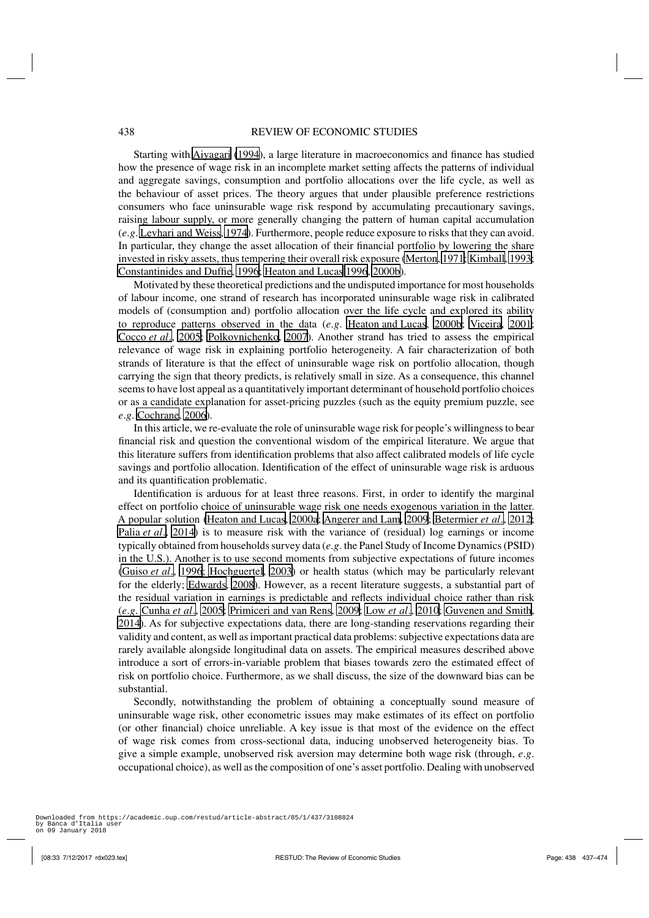Starting with [Aiyagari](#page-35-0) [\(1994\)](#page-35-0), a large literature in macroeconomics and finance has studied how the presence of wage risk in an incomplete market setting affects the patterns of individual and aggregate savings, consumption and portfolio allocations over the life cycle, as well as the behaviour of asset prices. The theory argues that under plausible preference restrictions consumers who face uninsurable wage risk respond by accumulating precautionary savings, raising labour supply, or more generally changing the pattern of human capital accumulation (*e*.*g*. [Levhari and Weiss, 1974\)](#page-37-0). Furthermore, people reduce exposure to risks that they can avoid. In particular, they change the asset allocation of their financial portfolio by lowering the share invested in risky assets, thus tempering their overall risk exposure [\(Merton](#page-37-0), [1971;](#page-37-0) [Kimball](#page-36-0), [1993](#page-36-0); [Constantinides and Duffie, 1996; Heaton and Lucas 1996](#page-36-0), [2000b](#page-36-0)).

Motivated by these theoretical predictions and the undisputed importance for most households of labour income, one strand of research has incorporated uninsurable wage risk in calibrated models of (consumption and) portfolio allocation over the life cycle and explored its ability to reproduce patterns observed in the data (*e*.*g*. [Heaton and Lucas](#page-36-0), [2000b;](#page-36-0) [Viceira, 2001](#page-37-0); [Cocco](#page-36-0) *et al*., [2005](#page-36-0); [Polkovnichenko, 2007](#page-37-0)). Another strand has tried to assess the empirical relevance of wage risk in explaining portfolio heterogeneity. A fair characterization of both strands of literature is that the effect of uninsurable wage risk on portfolio allocation, though carrying the sign that theory predicts, is relatively small in size. As a consequence, this channel seems to have lost appeal as a quantitatively important determinant of household portfolio choices or as a candidate explanation for asset-pricing puzzles (such as the equity premium puzzle, see *e*.*g*. [Cochrane](#page-36-0), [2006](#page-36-0)).

In this article, we re-evaluate the role of uninsurable wage risk for people's willingness to bear financial risk and question the conventional wisdom of the empirical literature. We argue that this literature suffers from identification problems that also affect calibrated models of life cycle savings and portfolio allocation. Identification of the effect of uninsurable wage risk is arduous and its quantification problematic.

Identification is arduous for at least three reasons. First, in order to identify the marginal effect on portfolio choice of uninsurable wage risk one needs exogenous variation in the latter. A popular solution [\(Heaton and Lucas, 2000a;](#page-36-0) [Angerer and Lam](#page-35-0), [2009; Betermier](#page-35-0) *et al*., [2012](#page-35-0); [Palia](#page-37-0) *et al*., [2014\)](#page-37-0) is to measure risk with the variance of (residual) log earnings or income typically obtained from households survey data (*e*.*g*. the Panel Study of Income Dynamics (PSID) in the U.S.). Another is to use second moments from subjective expectations of future incomes [\(Guiso](#page-36-0) *et al*., [1996; Hochguertel, 2003\)](#page-36-0) or health status (which may be particularly relevant for the elderly; [Edwards, 2008](#page-36-0)). However, as a recent literature suggests, a substantial part of the residual variation in earnings is predictable and reflects individual choice rather than risk (*e*.*g*. [Cunha](#page-36-0) *et al*., [2005](#page-36-0); [Primiceri and van Rens](#page-37-0), [2009; Low](#page-37-0) *et al*., [2010;](#page-37-0) [Guvenen and Smith,](#page-36-0) [2014\)](#page-36-0). As for subjective expectations data, there are long-standing reservations regarding their validity and content, as well as important practical data problems: subjective expectations data are rarely available alongside longitudinal data on assets. The empirical measures described above introduce a sort of errors-in-variable problem that biases towards zero the estimated effect of risk on portfolio choice. Furthermore, as we shall discuss, the size of the downward bias can be substantial.

Secondly, notwithstanding the problem of obtaining a conceptually sound measure of uninsurable wage risk, other econometric issues may make estimates of its effect on portfolio (or other financial) choice unreliable. A key issue is that most of the evidence on the effect of wage risk comes from cross-sectional data, inducing unobserved heterogeneity bias. To give a simple example, unobserved risk aversion may determine both wage risk (through, *e*.*g*. occupational choice), as well as the composition of one's asset portfolio. Dealing with unobserved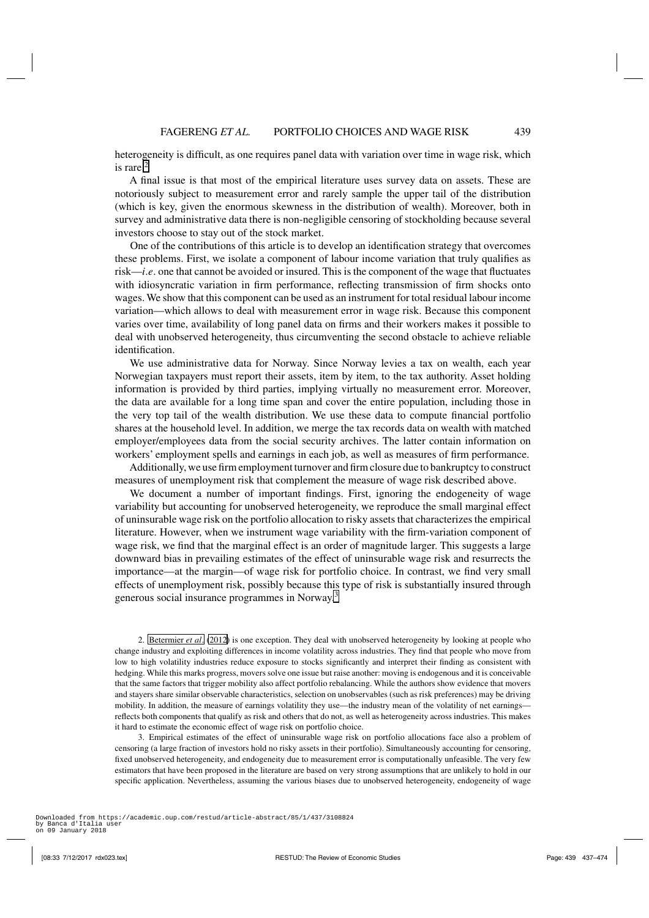heterogeneity is difficult, as one requires panel data with variation over time in wage risk, which is rare.<sup>2</sup>

A final issue is that most of the empirical literature uses survey data on assets. These are notoriously subject to measurement error and rarely sample the upper tail of the distribution (which is key, given the enormous skewness in the distribution of wealth). Moreover, both in survey and administrative data there is non-negligible censoring of stockholding because several investors choose to stay out of the stock market.

One of the contributions of this article is to develop an identification strategy that overcomes these problems. First, we isolate a component of labour income variation that truly qualifies as risk—*i*.*e*. one that cannot be avoided or insured. This is the component of the wage that fluctuates with idiosyncratic variation in firm performance, reflecting transmission of firm shocks onto wages. We show that this component can be used as an instrument for total residual labour income variation—which allows to deal with measurement error in wage risk. Because this component varies over time, availability of long panel data on firms and their workers makes it possible to deal with unobserved heterogeneity, thus circumventing the second obstacle to achieve reliable identification.

We use administrative data for Norway. Since Norway levies a tax on wealth, each year Norwegian taxpayers must report their assets, item by item, to the tax authority. Asset holding information is provided by third parties, implying virtually no measurement error. Moreover, the data are available for a long time span and cover the entire population, including those in the very top tail of the wealth distribution. We use these data to compute financial portfolio shares at the household level. In addition, we merge the tax records data on wealth with matched employer/employees data from the social security archives. The latter contain information on workers' employment spells and earnings in each job, as well as measures of firm performance.

Additionally, we use firm employment turnover and firm closure due to bankruptcy to construct measures of unemployment risk that complement the measure of wage risk described above.

We document a number of important findings. First, ignoring the endogeneity of wage variability but accounting for unobserved heterogeneity, we reproduce the small marginal effect of uninsurable wage risk on the portfolio allocation to risky assets that characterizes the empirical literature. However, when we instrument wage variability with the firm-variation component of wage risk, we find that the marginal effect is an order of magnitude larger. This suggests a large downward bias in prevailing estimates of the effect of uninsurable wage risk and resurrects the importance—at the margin—of wage risk for portfolio choice. In contrast, we find very small effects of unemployment risk, possibly because this type of risk is substantially insured through generous social insurance programmes in Norway.<sup>3</sup>

2. [Betermier](#page-35-0) *et al*. [\(2012](#page-35-0)) is one exception. They deal with unobserved heterogeneity by looking at people who change industry and exploiting differences in income volatility across industries. They find that people who move from low to high volatility industries reduce exposure to stocks significantly and interpret their finding as consistent with hedging. While this marks progress, movers solve one issue but raise another: moving is endogenous and it is conceivable that the same factors that trigger mobility also affect portfolio rebalancing. While the authors show evidence that movers and stayers share similar observable characteristics, selection on unobservables (such as risk preferences) may be driving mobility. In addition, the measure of earnings volatility they use—the industry mean of the volatility of net earnings reflects both components that qualify as risk and others that do not, as well as heterogeneity across industries. This makes it hard to estimate the economic effect of wage risk on portfolio choice.

3. Empirical estimates of the effect of uninsurable wage risk on portfolio allocations face also a problem of censoring (a large fraction of investors hold no risky assets in their portfolio). Simultaneously accounting for censoring, fixed unobserved heterogeneity, and endogeneity due to measurement error is computationally unfeasible. The very few estimators that have been proposed in the literature are based on very strong assumptions that are unlikely to hold in our specific application. Nevertheless, assuming the various biases due to unobserved heterogeneity, endogeneity of wage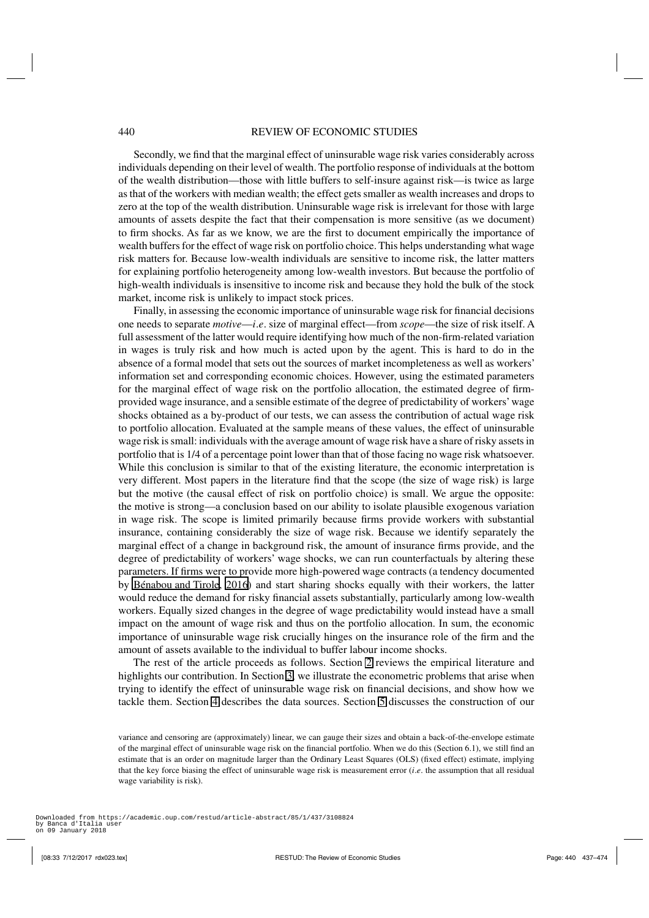Secondly, we find that the marginal effect of uninsurable wage risk varies considerably across individuals depending on their level of wealth. The portfolio response of individuals at the bottom of the wealth distribution—those with little buffers to self-insure against risk—is twice as large as that of the workers with median wealth; the effect gets smaller as wealth increases and drops to zero at the top of the wealth distribution. Uninsurable wage risk is irrelevant for those with large amounts of assets despite the fact that their compensation is more sensitive (as we document) to firm shocks. As far as we know, we are the first to document empirically the importance of wealth buffers for the effect of wage risk on portfolio choice. This helps understanding what wage risk matters for. Because low-wealth individuals are sensitive to income risk, the latter matters for explaining portfolio heterogeneity among low-wealth investors. But because the portfolio of high-wealth individuals is insensitive to income risk and because they hold the bulk of the stock market, income risk is unlikely to impact stock prices.

Finally, in assessing the economic importance of uninsurable wage risk for financial decisions one needs to separate *motive*—*i*.*e*. size of marginal effect—from *scope*—the size of risk itself. A full assessment of the latter would require identifying how much of the non-firm-related variation in wages is truly risk and how much is acted upon by the agent. This is hard to do in the absence of a formal model that sets out the sources of market incompleteness as well as workers' information set and corresponding economic choices. However, using the estimated parameters for the marginal effect of wage risk on the portfolio allocation, the estimated degree of firmprovided wage insurance, and a sensible estimate of the degree of predictability of workers'wage shocks obtained as a by-product of our tests, we can assess the contribution of actual wage risk to portfolio allocation. Evaluated at the sample means of these values, the effect of uninsurable wage risk is small: individuals with the average amount of wage risk have a share of risky assets in portfolio that is 1/4 of a percentage point lower than that of those facing no wage risk whatsoever. While this conclusion is similar to that of the existing literature, the economic interpretation is very different. Most papers in the literature find that the scope (the size of wage risk) is large but the motive (the causal effect of risk on portfolio choice) is small. We argue the opposite: the motive is strong—a conclusion based on our ability to isolate plausible exogenous variation in wage risk. The scope is limited primarily because firms provide workers with substantial insurance, containing considerably the size of wage risk. Because we identify separately the marginal effect of a change in background risk, the amount of insurance firms provide, and the degree of predictability of workers' wage shocks, we can run counterfactuals by altering these parameters. If firms were to provide more high-powered wage contracts (a tendency documented by [Bénabou and Tirole](#page-35-0), [2016\)](#page-35-0) and start sharing shocks equally with their workers, the latter would reduce the demand for risky financial assets substantially, particularly among low-wealth workers. Equally sized changes in the degree of wage predictability would instead have a small impact on the amount of wage risk and thus on the portfolio allocation. In sum, the economic importance of uninsurable wage risk crucially hinges on the insurance role of the firm and the amount of assets available to the individual to buffer labour income shocks.

The rest of the article proceeds as follows. Section [2](#page-4-0) reviews the empirical literature and highlights our contribution. In Section [3,](#page-5-0) we illustrate the econometric problems that arise when trying to identify the effect of uninsurable wage risk on financial decisions, and show how we tackle them. Section [4](#page-9-0) describes the data sources. Section [5](#page-13-0) discusses the construction of our

variance and censoring are (approximately) linear, we can gauge their sizes and obtain a back-of-the-envelope estimate of the marginal effect of uninsurable wage risk on the financial portfolio. When we do this (Section 6.1), we still find an estimate that is an order on magnitude larger than the Ordinary Least Squares (OLS) (fixed effect) estimate, implying that the key force biasing the effect of uninsurable wage risk is measurement error (*i*.*e*. the assumption that all residual wage variability is risk).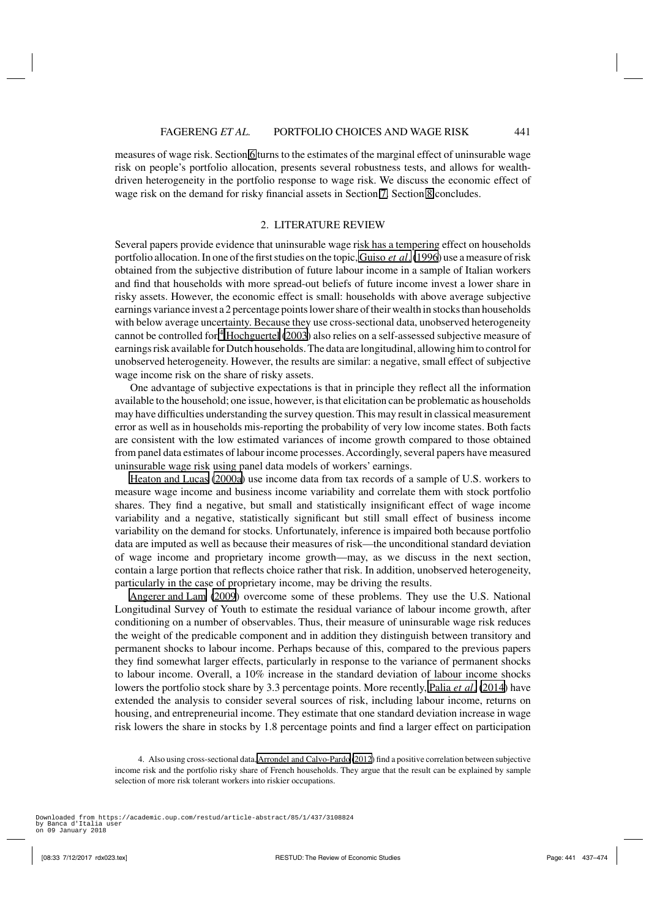wage risk on the demand for risky financial assets in Section [7.](#page-26-0) Section [8](#page-31-0) concludes.

<span id="page-4-0"></span>measures of wage risk. Section [6](#page-17-0) turns to the estimates of the marginal effect of uninsurable wage risk on people's portfolio allocation, presents several robustness tests, and allows for wealthdriven heterogeneity in the portfolio response to wage risk. We discuss the economic effect of

# 2. LITERATURE REVIEW

Several papers provide evidence that uninsurable wage risk has a tempering effect on households portfolio allocation. In one of the first studies on the topic, [Guiso](#page-36-0) *et al*.[\(1996\)](#page-36-0) use a measure of risk obtained from the subjective distribution of future labour income in a sample of Italian workers and find that households with more spread-out beliefs of future income invest a lower share in risky assets. However, the economic effect is small: households with above average subjective earnings variance invest a 2 percentage points lower share of their wealth in stocks than households with below average uncertainty. Because they use cross-sectional data, unobserved heterogeneity cannot be controlled for.<sup>4</sup> [Hochguertel](#page-36-0) [\(2003](#page-36-0)) also relies on a self-assessed subjective measure of earnings risk available for Dutch households. The data are longitudinal, allowing him to control for unobserved heterogeneity. However, the results are similar: a negative, small effect of subjective wage income risk on the share of risky assets.

One advantage of subjective expectations is that in principle they reflect all the information available to the household; one issue, however, is that elicitation can be problematic as households may have difficulties understanding the survey question. This may result in classical measurement error as well as in households mis-reporting the probability of very low income states. Both facts are consistent with the low estimated variances of income growth compared to those obtained from panel data estimates of labour income processes.Accordingly, several papers have measured uninsurable wage risk using panel data models of workers' earnings.

[Heaton and Lucas](#page-36-0) [\(2000a\)](#page-36-0) use income data from tax records of a sample of U.S. workers to measure wage income and business income variability and correlate them with stock portfolio shares. They find a negative, but small and statistically insignificant effect of wage income variability and a negative, statistically significant but still small effect of business income variability on the demand for stocks. Unfortunately, inference is impaired both because portfolio data are imputed as well as because their measures of risk—the unconditional standard deviation of wage income and proprietary income growth—may, as we discuss in the next section, contain a large portion that reflects choice rather that risk. In addition, unobserved heterogeneity, particularly in the case of proprietary income, may be driving the results.

[Angerer and Lam](#page-35-0) [\(2009\)](#page-35-0) overcome some of these problems. They use the U.S. National Longitudinal Survey of Youth to estimate the residual variance of labour income growth, after conditioning on a number of observables. Thus, their measure of uninsurable wage risk reduces the weight of the predicable component and in addition they distinguish between transitory and permanent shocks to labour income. Perhaps because of this, compared to the previous papers they find somewhat larger effects, particularly in response to the variance of permanent shocks to labour income. Overall, a 10% increase in the standard deviation of labour income shocks lowers the portfolio stock share by 3.3 percentage points. More recently, [Palia](#page-37-0) *et al*. [\(2014\)](#page-37-0) have extended the analysis to consider several sources of risk, including labour income, returns on housing, and entrepreneurial income. They estimate that one standard deviation increase in wage risk lowers the share in stocks by 1.8 percentage points and find a larger effect on participation

<sup>4.</sup> Also using cross-sectional data,[Arrondel and Calvo-Pardo](#page-35-0) [\(2012](#page-35-0)) find a positive correlation between subjective income risk and the portfolio risky share of French households. They argue that the result can be explained by sample selection of more risk tolerant workers into riskier occupations.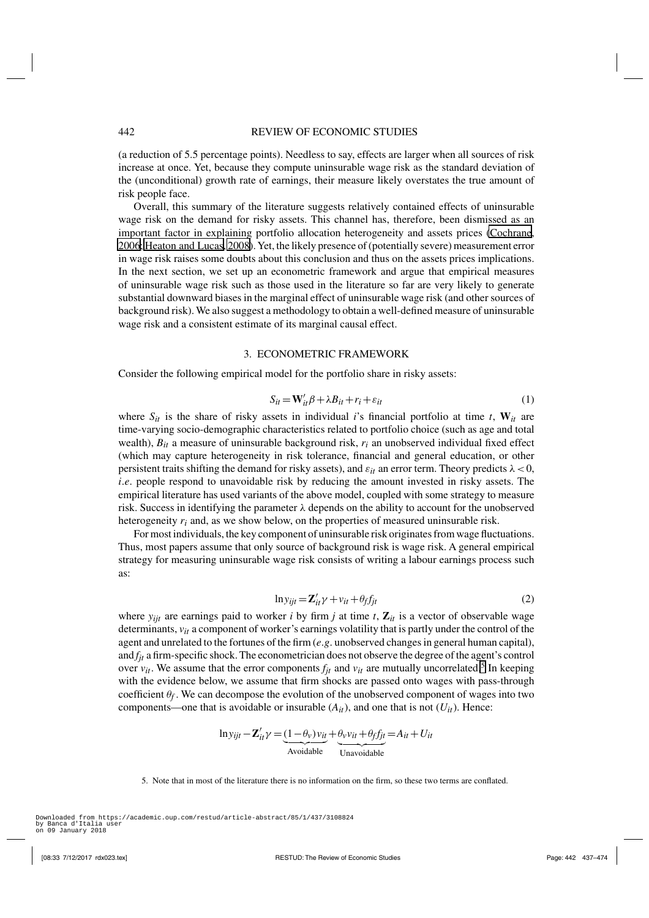<span id="page-5-0"></span>(a reduction of 5.5 percentage points). Needless to say, effects are larger when all sources of risk increase at once. Yet, because they compute uninsurable wage risk as the standard deviation of the (unconditional) growth rate of earnings, their measure likely overstates the true amount of risk people face.

Overall, this summary of the literature suggests relatively contained effects of uninsurable wage risk on the demand for risky assets. This channel has, therefore, been dismissed as an important factor in explaining portfolio allocation heterogeneity and assets prices [\(Cochrane,](#page-36-0) [2006; Heaton and Lucas](#page-36-0), [2008](#page-36-0)). Yet, the likely presence of (potentially severe) measurement error in wage risk raises some doubts about this conclusion and thus on the assets prices implications. In the next section, we set up an econometric framework and argue that empirical measures of uninsurable wage risk such as those used in the literature so far are very likely to generate substantial downward biases in the marginal effect of uninsurable wage risk (and other sources of background risk). We also suggest a methodology to obtain a well-defined measure of uninsurable wage risk and a consistent estimate of its marginal causal effect.

# 3. ECONOMETRIC FRAMEWORK

Consider the following empirical model for the portfolio share in risky assets:

$$
S_{it} = \mathbf{W}'_{it} \beta + \lambda B_{it} + r_i + \varepsilon_{it}
$$
 (1)

where  $S_{it}$  is the share of risky assets in individual *i*'s financial portfolio at time *t*,  $W_{it}$  are time-varying socio-demographic characteristics related to portfolio choice (such as age and total wealth), *Bit* a measure of uninsurable background risk, *ri* an unobserved individual fixed effect (which may capture heterogeneity in risk tolerance, financial and general education, or other persistent traits shifting the demand for risky assets), and  $\varepsilon_{it}$  an error term. Theory predicts  $\lambda < 0$ , *i.e.* people respond to unavoidable risk by reducing the amount invested in risky assets. The empirical literature has used variants of the above model, coupled with some strategy to measure risk. Success in identifying the parameter  $\lambda$  depends on the ability to account for the unobserved heterogeneity *ri* and, as we show below, on the properties of measured uninsurable risk.

For most individuals, the key component of uninsurable risk originates from wage fluctuations. Thus, most papers assume that only source of background risk is wage risk. A general empirical strategy for measuring uninsurable wage risk consists of writing a labour earnings process such as:

$$
ln y_{ijt} = \mathbf{Z}_{it}' \gamma + v_{it} + \theta_f f_{jt}
$$
 (2)

where  $y_{ijt}$  are earnings paid to worker *i* by firm *j* at time *t*,  $\mathbf{Z}_{it}$  is a vector of observable wage determinants,  $v_{it}$  a component of worker's earnings volatility that is partly under the control of the agent and unrelated to the fortunes of the firm (*e*.*g*. unobserved changes in general human capital), and *fjt* a firm-specific shock. The econometrician does not observe the degree of the agent's control over  $v_{it}$ . We assume that the error components  $f_{it}$  and  $v_{it}$  are mutually uncorrelated.<sup>5</sup> In keeping with the evidence below, we assume that firm shocks are passed onto wages with pass-through coefficient  $\theta_f$ . We can decompose the evolution of the unobserved component of wages into two components—one that is avoidable or insurable  $(A_{it})$ , and one that is not  $(U_{it})$ . Hence:

$$
\ln y_{ijt} - \mathbf{Z}_{it}' \gamma = \underbrace{(1 - \theta_v) v_{it}}_{\text{Avoidable}} + \underbrace{\theta_v v_{it} + \theta_f f_{jt}}_{\text{Unavoidable}} = A_{it} + U_{it}
$$

<sup>5.</sup> Note that in most of the literature there is no information on the firm, so these two terms are conflated.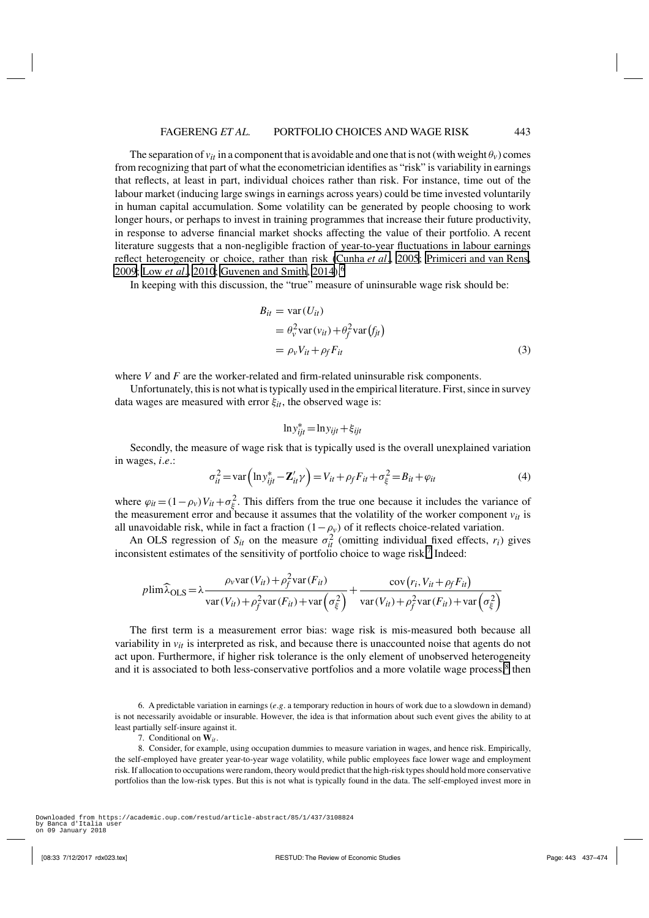<span id="page-6-0"></span>The separation of  $v_{it}$  in a component that is avoidable and one that is not (with weight  $\theta_v$ ) comes from recognizing that part of what the econometrician identifies as "risk" is variability in earnings that reflects, at least in part, individual choices rather than risk. For instance, time out of the labour market (inducing large swings in earnings across years) could be time invested voluntarily in human capital accumulation. Some volatility can be generated by people choosing to work longer hours, or perhaps to invest in training programmes that increase their future productivity, in response to adverse financial market shocks affecting the value of their portfolio. A recent literature suggests that a non-negligible fraction of year-to-year fluctuations in labour earnings reflect heterogeneity or choice, rather than risk [\(Cunha](#page-36-0) *et al*., [2005](#page-36-0); [Primiceri and van Rens](#page-37-0), [2009](#page-37-0); [Low](#page-37-0) *et al*., [2010](#page-37-0); [Guvenen and Smith, 2014\)](#page-36-0).<sup>6</sup>

In keeping with this discussion, the "true" measure of uninsurable wage risk should be:

$$
B_{it} = \text{var}(U_{it})
$$
  
=  $\theta_v^2 \text{var}(v_{it}) + \theta_f^2 \text{var}(f_{jt})$   
=  $\rho_v V_{it} + \rho_f F_{it}$  (3)

where *V* and *F* are the worker-related and firm-related uninsurable risk components.

Unfortunately, this is not what is typically used in the empirical literature. First, since in survey data wages are measured with error ξ*it*, the observed wage is:

$$
\ln y_{ijt}^* = \ln y_{ijt} + \xi_{ijt}
$$

Secondly, the measure of wage risk that is typically used is the overall unexplained variation in wages, *i*.*e*.:

$$
\sigma_{it}^2 = \text{var}\left(\ln y_{ijt}^* - \mathbf{Z}_{it}' \gamma\right) = V_{it} + \rho_f F_{it} + \sigma_{\xi}^2 = B_{it} + \varphi_{it}
$$
(4)

where  $\varphi_{it} = (1 - \rho_v)V_{it} + \sigma_{\xi}^2$ . This differs from the true one because it includes the variance of the measurement error and because it assumes that the volatility of the worker component  $v_{it}$  is all unavoidable risk, while in fact a fraction  $(1 - \rho_v)$  of it reflects choice-related variation.

An OLS regression of  $S_{it}$  on the measure  $\sigma_{it}^2$  (omitting individual fixed effects,  $r_i$ ) gives inconsistent estimates of the sensitivity of portfolio choice to wage risk.<sup>7</sup> Indeed:

$$
p\lim \widehat{\lambda}_{\text{OLS}} = \lambda \frac{\rho_v \text{var}(V_{it}) + \rho_f^2 \text{var}(F_{it})}{\text{var}(V_{it}) + \rho_f^2 \text{var}(F_{it}) + \text{var}\left(\sigma_{\xi}^2\right)} + \frac{\text{cov}\left(r_i, V_{it} + \rho_f F_{it}\right)}{\text{var}(V_{it}) + \rho_f^2 \text{var}(F_{it}) + \text{var}\left(\sigma_{\xi}^2\right)}
$$

The first term is a measurement error bias: wage risk is mis-measured both because all variability in  $v_{it}$  is interpreted as risk, and because there is unaccounted noise that agents do not act upon. Furthermore, if higher risk tolerance is the only element of unobserved heterogeneity and it is associated to both less-conservative portfolios and a more volatile wage process,<sup>8</sup> then

7. Conditional on **W***it*.

8. Consider, for example, using occupation dummies to measure variation in wages, and hence risk. Empirically, the self-employed have greater year-to-year wage volatility, while public employees face lower wage and employment risk. If allocation to occupations were random, theory would predict that the high-risk types should hold more conservative portfolios than the low-risk types. But this is not what is typically found in the data. The self-employed invest more in

<sup>6.</sup> A predictable variation in earnings (*e*.*g*. a temporary reduction in hours of work due to a slowdown in demand) is not necessarily avoidable or insurable. However, the idea is that information about such event gives the ability to at least partially self-insure against it.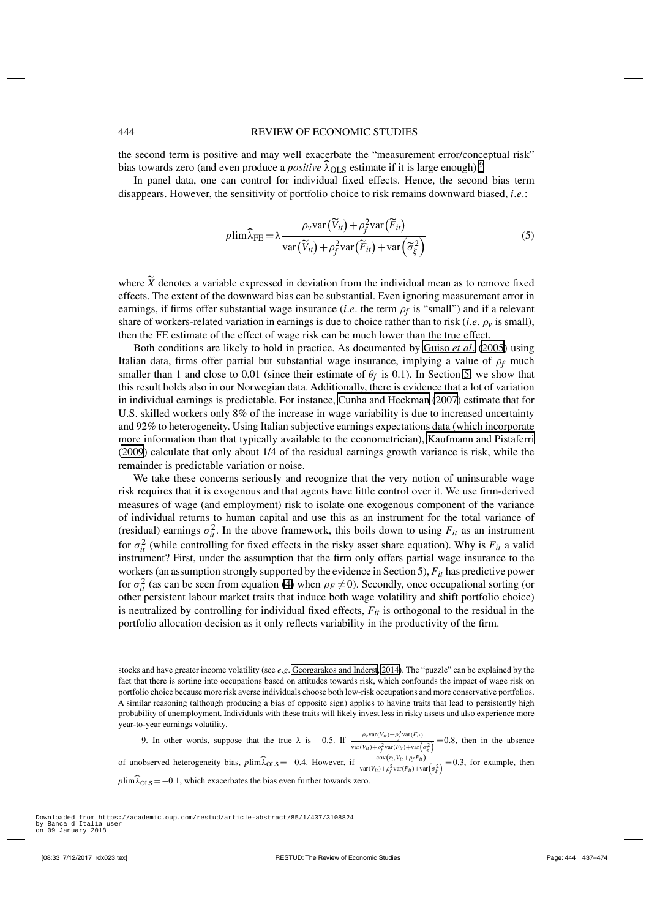## 444 REVIEW OF ECONOMIC STUDIES

the second term is positive and may well exacerbate the "measurement error/conceptual risk" bias towards zero (and even produce a *positive* λ<sub>OLS</sub> estimate if it is large enough).<sup>9</sup>

In panel data, one can control for individual fixed effects. Hence, the second bias term disappears. However, the sensitivity of portfolio choice to risk remains downward biased, *i*.*e*.:

$$
p\lim \widehat{\lambda}_{\text{FE}} = \lambda \frac{\rho_v \text{var}\left(\widetilde{V}_{it}\right) + \rho_f^2 \text{var}\left(\widetilde{F}_{it}\right)}{\text{var}\left(\widetilde{V}_{it}\right) + \rho_f^2 \text{var}\left(\widetilde{F}_{it}\right) + \text{var}\left(\widetilde{\sigma}_{\xi}^2\right)}\tag{5}
$$

where  $\hat{X}$  denotes a variable expressed in deviation from the individual mean as to remove fixed effects. The extent of the downward bias can be substantial. Even ignoring measurement error in earnings, if firms offer substantial wage insurance (*i.e.* the term  $\rho_f$  is "small") and if a relevant share of workers-related variation in earnings is due to choice rather than to risk (*i.e.*  $\rho<sub>v</sub>$  is small), then the FE estimate of the effect of wage risk can be much lower than the true effect.

Both conditions are likely to hold in practice. As documented by [Guiso](#page-36-0) *et al*. [\(2005](#page-36-0)) using Italian data, firms offer partial but substantial wage insurance, implying a value of  $\rho_f$  much smaller than 1 and close to 0.01 (since their estimate of  $\theta_f$  is 0.1). In Section [5,](#page-13-0) we show that this result holds also in our Norwegian data. Additionally, there is evidence that a lot of variation in individual earnings is predictable. For instance, [Cunha and Heckman](#page-36-0) [\(2007\)](#page-36-0) estimate that for U.S. skilled workers only 8% of the increase in wage variability is due to increased uncertainty and 92% to heterogeneity. Using Italian subjective earnings expectations data (which incorporate more information than that typically available to the econometrician), [Kaufmann and Pistaferri](#page-36-0) [\(2009](#page-36-0)) calculate that only about 1/4 of the residual earnings growth variance is risk, while the remainder is predictable variation or noise.

We take these concerns seriously and recognize that the very notion of uninsurable wage risk requires that it is exogenous and that agents have little control over it. We use firm-derived measures of wage (and employment) risk to isolate one exogenous component of the variance of individual returns to human capital and use this as an instrument for the total variance of (residual) earnings  $\sigma_{it}^2$ . In the above framework, this boils down to using  $F_{it}$  as an instrument for  $\sigma_{it}^2$  (while controlling for fixed effects in the risky asset share equation). Why is  $F_{it}$  a valid instrument? First, under the assumption that the firm only offers partial wage insurance to the workers (an assumption strongly supported by the evidence in Section 5), *Fit* has predictive power for  $\sigma_{it}^2$  (as can be seen from equation [\(4\)](#page-6-0) when  $\rho_F \neq 0$ ). Secondly, once occupational sorting (or other persistent labour market traits that induce both wage volatility and shift portfolio choice) is neutralized by controlling for individual fixed effects,  $F_{it}$  is orthogonal to the residual in the portfolio allocation decision as it only reflects variability in the productivity of the firm.

stocks and have greater income volatility (see *e*.*g*. [Georgarakos and Inderst](#page-36-0), [2014](#page-36-0)). The "puzzle" can be explained by the fact that there is sorting into occupations based on attitudes towards risk, which confounds the impact of wage risk on portfolio choice because more risk averse individuals choose both low-risk occupations and more conservative portfolios. A similar reasoning (although producing a bias of opposite sign) applies to having traits that lead to persistently high probability of unemployment. Individuals with these traits will likely invest less in risky assets and also experience more year-to-year earnings volatility.

9. In other words, suppose that the true  $\lambda$  is -0.5. If  $\frac{\rho_v \text{var}(V_{ii}) + \rho_f^2 \text{var}(F_{ii})}{\rho_v \sqrt{(\rho_f - \rho_f^2) \rho_f^2}}$  $\frac{p_{\gamma}(\alpha_1(r_H)+p_f(\alpha_2(r_H))}{\sqrt{p_{\gamma}(\alpha_1(r_H)+p_f(\alpha_2(r_H))}+\sqrt{p_{\gamma}(\alpha_2(r_H))}}$  = 0.8, then in the absence of unobserved heterogeneity bias,  $p\lim_{\lambda} \hat{\lambda}_{OLS} = -0.4$ . However, if  $\frac{\text{cov}(r_i, V_{it} + \rho_f F_{it})}{\text{var}(V_{it}) + \rho_f^2 \text{var}(F_{it}) + \text{var}(\rho_{\xi}^2)} = 0.3$ , for example, then  $p\lim_{\lambda_{\text{OLS}}} = -0.1$ , which exacerbates the bias even further towards zero.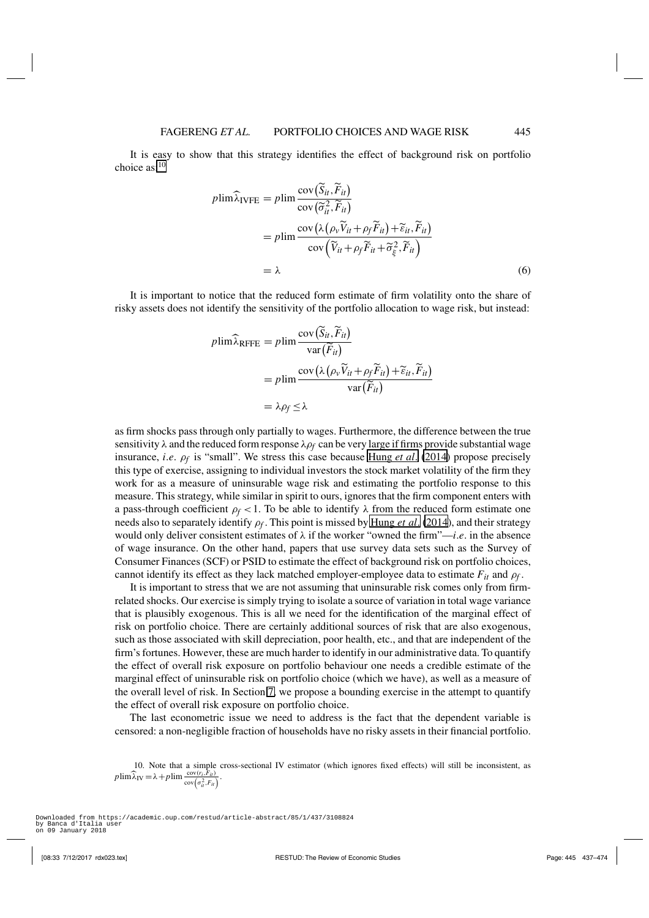<span id="page-8-0"></span>It is easy to show that this strategy identifies the effect of background risk on portfolio choice  $as:10$ 

$$
p\lim \widehat{\lambda}_{\text{IVFE}} = p\lim \frac{\text{cov}(\widetilde{S}_{it}, \widetilde{F}_{it})}{\text{cov}(\widetilde{\sigma}_{it}^2, \widetilde{F}_{it})}
$$
  
=  $p\lim \frac{\text{cov}(\lambda(\rho_v \widetilde{V}_{it} + \rho_f \widetilde{F}_{it}) + \widetilde{\varepsilon}_{it}, \widetilde{F}_{it})}{\text{cov}(\widetilde{V}_{it} + \rho_f \widetilde{F}_{it} + \widetilde{\sigma}_{\xi}^2, \widetilde{F}_{it})}$   
=  $\lambda$  (6)

It is important to notice that the reduced form estimate of firm volatility onto the share of risky assets does not identify the sensitivity of the portfolio allocation to wage risk, but instead:

$$
p\lim \widehat{\lambda}_{RFFE} = p\lim \frac{\text{cov}(\widetilde{S}_{it}, \widetilde{F}_{it})}{\text{var}(\widetilde{F}_{it})}
$$
  
=  $p\lim \frac{\text{cov}(\lambda(\rho_v \widetilde{V}_{it} + \rho_f \widetilde{F}_{it}) + \widetilde{\varepsilon}_{it}, \widetilde{F}_{it})}{\text{var}(\widetilde{F}_{it})}$   
=  $\lambda \rho_f \le \lambda$ 

as firm shocks pass through only partially to wages. Furthermore, the difference between the true sensitivity  $\lambda$  and the reduced form response  $\lambda \rho_f$  can be very large if firms provide substantial wage insurance, *i*.*e*. ρ*f* is "small". We stress this case because [Hung](#page-36-0) *et al*. [\(2014\)](#page-36-0) propose precisely this type of exercise, assigning to individual investors the stock market volatility of the firm they work for as a measure of uninsurable wage risk and estimating the portfolio response to this measure. This strategy, while similar in spirit to ours, ignores that the firm component enters with a pass-through coefficient  $\rho_f < 1$ . To be able to identify  $\lambda$  from the reduced form estimate one needs also to separately identify ρ*f* . This point is missed by [Hung](#page-36-0) *et al*. [\(2014\)](#page-36-0), and their strategy would only deliver consistent estimates of  $\lambda$  if the worker "owned the firm"—*i.e.* in the absence of wage insurance. On the other hand, papers that use survey data sets such as the Survey of Consumer Finances (SCF) or PSID to estimate the effect of background risk on portfolio choices, cannot identify its effect as they lack matched employer-employee data to estimate  $F_{it}$  and  $\rho_f$ .

It is important to stress that we are not assuming that uninsurable risk comes only from firmrelated shocks. Our exercise is simply trying to isolate a source of variation in total wage variance that is plausibly exogenous. This is all we need for the identification of the marginal effect of risk on portfolio choice. There are certainly additional sources of risk that are also exogenous, such as those associated with skill depreciation, poor health, etc., and that are independent of the firm's fortunes. However, these are much harder to identify in our administrative data. To quantify the effect of overall risk exposure on portfolio behaviour one needs a credible estimate of the marginal effect of uninsurable risk on portfolio choice (which we have), as well as a measure of the overall level of risk. In Section [7,](#page-26-0) we propose a bounding exercise in the attempt to quantify the effect of overall risk exposure on portfolio choice.

The last econometric issue we need to address is the fact that the dependent variable is censored: a non-negligible fraction of households have no risky assets in their financial portfolio.

<sup>10.</sup> Note that a simple cross-sectional IV estimator (which ignores fixed effects) will still be inconsistent, as  $p \lim \widehat{\lambda}_I V = \lambda + p \lim \frac{\text{cov}(r_i, \overline{F}_{it})}{\text{cov}(\sigma_u^2, F_{it})}.$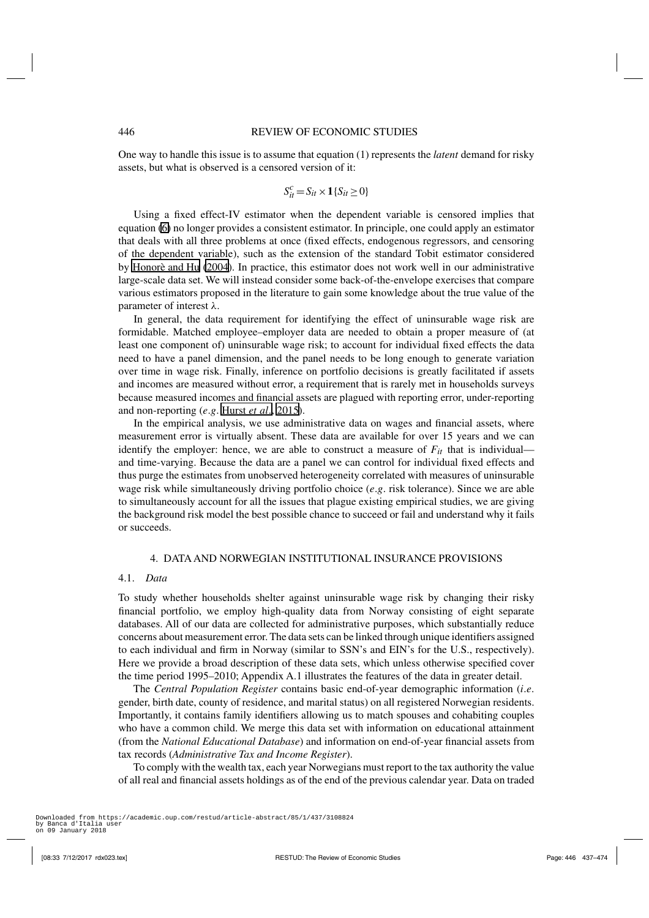<span id="page-9-0"></span>One way to handle this issue is to assume that equation (1) represents the *latent* demand for risky assets, but what is observed is a censored version of it:

$$
S_{it}^c = S_{it} \times \mathbf{1} \{ S_{it} \ge 0 \}
$$

Using a fixed effect-IV estimator when the dependent variable is censored implies that equation [\(6\)](#page-8-0) no longer provides a consistent estimator. In principle, one could apply an estimator that deals with all three problems at once (fixed effects, endogenous regressors, and censoring of the dependent variable), such as the extension of the standard Tobit estimator considered by [Honorè and Hu](#page-36-0) [\(2004\)](#page-36-0). In practice, this estimator does not work well in our administrative large-scale data set. We will instead consider some back-of-the-envelope exercises that compare various estimators proposed in the literature to gain some knowledge about the true value of the parameter of interest λ.

In general, the data requirement for identifying the effect of uninsurable wage risk are formidable. Matched employee–employer data are needed to obtain a proper measure of (at least one component of) uninsurable wage risk; to account for individual fixed effects the data need to have a panel dimension, and the panel needs to be long enough to generate variation over time in wage risk. Finally, inference on portfolio decisions is greatly facilitated if assets and incomes are measured without error, a requirement that is rarely met in households surveys because measured incomes and financial assets are plagued with reporting error, under-reporting and non-reporting (*e*.*g*. [Hurst](#page-36-0) *et al*., [2015](#page-36-0)).

In the empirical analysis, we use administrative data on wages and financial assets, where measurement error is virtually absent. These data are available for over 15 years and we can identify the employer: hence, we are able to construct a measure of  $F_{it}$  that is individual and time-varying. Because the data are a panel we can control for individual fixed effects and thus purge the estimates from unobserved heterogeneity correlated with measures of uninsurable wage risk while simultaneously driving portfolio choice (*e*.*g*. risk tolerance). Since we are able to simultaneously account for all the issues that plague existing empirical studies, we are giving the background risk model the best possible chance to succeed or fail and understand why it fails or succeeds.

# 4. DATA AND NORWEGIAN INSTITUTIONAL INSURANCE PROVISIONS

## 4.1. *Data*

To study whether households shelter against uninsurable wage risk by changing their risky financial portfolio, we employ high-quality data from Norway consisting of eight separate databases. All of our data are collected for administrative purposes, which substantially reduce concerns about measurement error. The data sets can be linked through unique identifiers assigned to each individual and firm in Norway (similar to SSN's and EIN's for the U.S., respectively). Here we provide a broad description of these data sets, which unless otherwise specified cover the time period 1995–2010; Appendix A.1 illustrates the features of the data in greater detail.

The *Central Population Register* contains basic end-of-year demographic information (*i*.*e*. gender, birth date, county of residence, and marital status) on all registered Norwegian residents. Importantly, it contains family identifiers allowing us to match spouses and cohabiting couples who have a common child. We merge this data set with information on educational attainment (from the *National Educational Database*) and information on end-of-year financial assets from tax records (*Administrative Tax and Income Register*).

To comply with the wealth tax, each year Norwegians must report to the tax authority the value of all real and financial assets holdings as of the end of the previous calendar year. Data on traded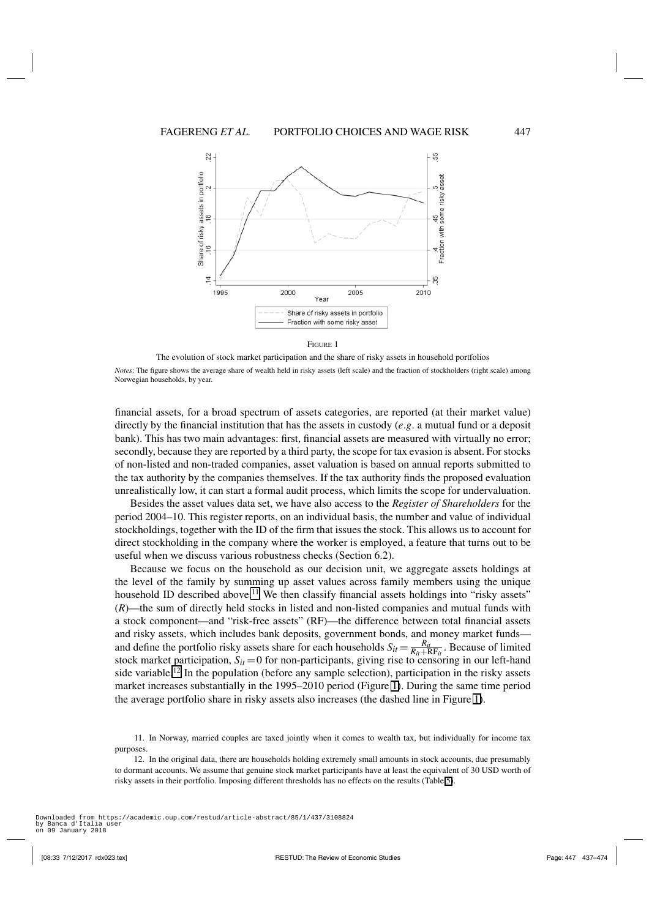

The evolution of stock market participation and the share of risky assets in household portfolios

*Notes*: The figure shows the average share of wealth held in risky assets (left scale) and the fraction of stockholders (right scale) among Norwegian households, by year.

financial assets, for a broad spectrum of assets categories, are reported (at their market value) directly by the financial institution that has the assets in custody (*e*.*g*. a mutual fund or a deposit bank). This has two main advantages: first, financial assets are measured with virtually no error; secondly, because they are reported by a third party, the scope for tax evasion is absent. For stocks of non-listed and non-traded companies, asset valuation is based on annual reports submitted to the tax authority by the companies themselves. If the tax authority finds the proposed evaluation unrealistically low, it can start a formal audit process, which limits the scope for undervaluation.

Besides the asset values data set, we have also access to the *Register of Shareholders* for the period 2004–10. This register reports, on an individual basis, the number and value of individual stockholdings, together with the ID of the firm that issues the stock. This allows us to account for direct stockholding in the company where the worker is employed, a feature that turns out to be useful when we discuss various robustness checks (Section 6.2).

Because we focus on the household as our decision unit, we aggregate assets holdings at the level of the family by summing up asset values across family members using the unique household ID described above.<sup>11</sup> We then classify financial assets holdings into "risky assets" (*R*)—the sum of directly held stocks in listed and non-listed companies and mutual funds with a stock component—and "risk-free assets" (RF)—the difference between total financial assets and risky assets, which includes bank deposits, government bonds, and money market funds and define the portfolio risky assets share for each households  $S_{it} = \frac{R_{it}}{R_{it} + R F_{it}}$ . Because of limited stock market participation,  $S_{it} = 0$  for non-participants, giving rise to censoring in our left-hand side variable.<sup>12</sup> In the population (before any sample selection), participation in the risky assets market increases substantially in the 1995–2010 period (Figure 1). During the same time period the average portfolio share in risky assets also increases (the dashed line in Figure 1).

<sup>11.</sup> In Norway, married couples are taxed jointly when it comes to wealth tax, but individually for income tax purposes.

<sup>12.</sup> In the original data, there are households holding extremely small amounts in stock accounts, due presumably to dormant accounts. We assume that genuine stock market participants have at least the equivalent of 30 USD worth of risky assets in their portfolio. Imposing different thresholds has no effects on the results (Table [5\)](#page-22-0).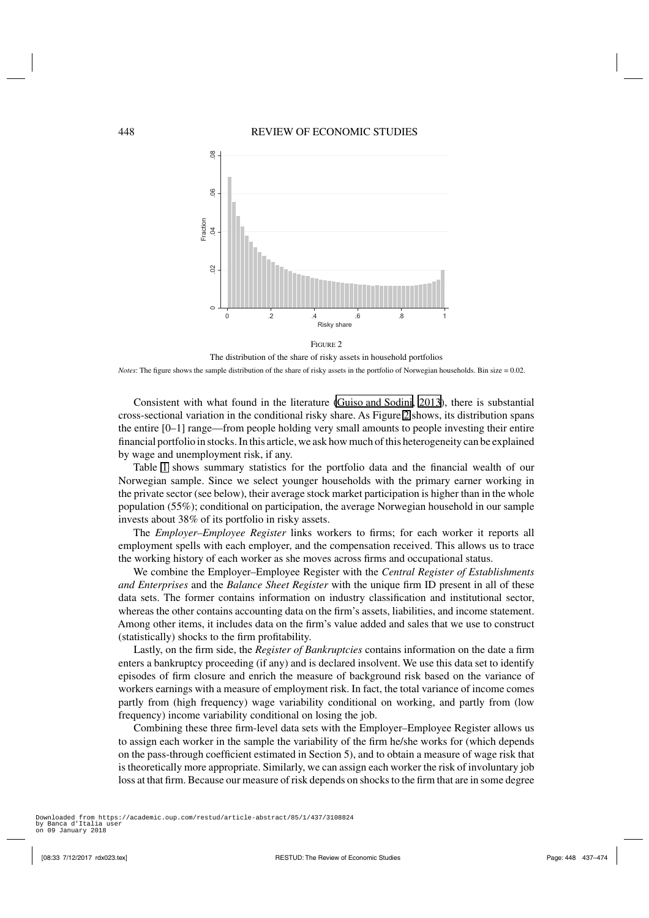

The distribution of the share of risky assets in household portfolios

*Notes*: The figure shows the sample distribution of the share of risky assets in the portfolio of Norwegian households. Bin size = 0.02.

Consistent with what found in the literature [\(Guiso and Sodini, 2013](#page-36-0)), there is substantial cross-sectional variation in the conditional risky share. As Figure 2 shows, its distribution spans the entire [0–1] range—from people holding very small amounts to people investing their entire financial portfolio in stocks. In this article, we ask how much of this heterogeneity can be explained by wage and unemployment risk, if any.

Table [1](#page-12-0) shows summary statistics for the portfolio data and the financial wealth of our Norwegian sample. Since we select younger households with the primary earner working in the private sector (see below), their average stock market participation is higher than in the whole population (55%); conditional on participation, the average Norwegian household in our sample invests about 38% of its portfolio in risky assets.

The *Employer–Employee Register* links workers to firms; for each worker it reports all employment spells with each employer, and the compensation received. This allows us to trace the working history of each worker as she moves across firms and occupational status.

We combine the Employer–Employee Register with the *Central Register of Establishments and Enterprises* and the *Balance Sheet Register* with the unique firm ID present in all of these data sets. The former contains information on industry classification and institutional sector, whereas the other contains accounting data on the firm's assets, liabilities, and income statement. Among other items, it includes data on the firm's value added and sales that we use to construct (statistically) shocks to the firm profitability.

Lastly, on the firm side, the *Register of Bankruptcies* contains information on the date a firm enters a bankruptcy proceeding (if any) and is declared insolvent. We use this data set to identify episodes of firm closure and enrich the measure of background risk based on the variance of workers earnings with a measure of employment risk. In fact, the total variance of income comes partly from (high frequency) wage variability conditional on working, and partly from (low frequency) income variability conditional on losing the job.

Combining these three firm-level data sets with the Employer–Employee Register allows us to assign each worker in the sample the variability of the firm he/she works for (which depends on the pass-through coefficient estimated in Section 5), and to obtain a measure of wage risk that is theoretically more appropriate. Similarly, we can assign each worker the risk of involuntary job loss at that firm. Because our measure of risk depends on shocks to the firm that are in some degree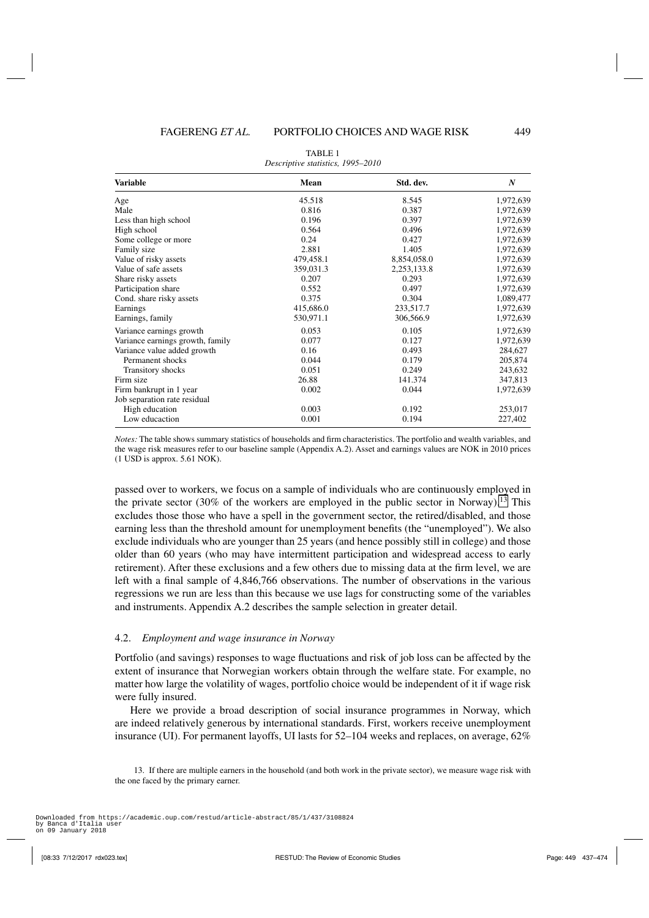<span id="page-12-0"></span>

| <b>Variable</b>                  | Mean      | Std. dev.   | N         |
|----------------------------------|-----------|-------------|-----------|
| Age                              | 45.518    | 8.545       | 1,972,639 |
| Male                             | 0.816     | 0.387       | 1,972,639 |
| Less than high school            | 0.196     | 0.397       | 1,972,639 |
| High school                      | 0.564     | 0.496       | 1,972,639 |
| Some college or more             | 0.24      | 0.427       | 1,972,639 |
| Family size                      | 2.881     | 1.405       | 1,972,639 |
| Value of risky assets            | 479,458.1 | 8,854,058.0 | 1,972,639 |
| Value of safe assets             | 359,031.3 | 2,253,133.8 | 1,972,639 |
| Share risky assets               | 0.207     | 0.293       | 1,972,639 |
| Participation share              | 0.552     | 0.497       | 1,972,639 |
| Cond. share risky assets         | 0.375     | 0.304       | 1,089,477 |
| Earnings                         | 415,686.0 | 233,517.7   | 1,972,639 |
| Earnings, family                 | 530,971.1 | 306,566.9   | 1,972,639 |
| Variance earnings growth         | 0.053     | 0.105       | 1,972,639 |
| Variance earnings growth, family | 0.077     | 0.127       | 1,972,639 |
| Variance value added growth      | 0.16      | 0.493       | 284,627   |
| Permanent shocks                 | 0.044     | 0.179       | 205,874   |
| Transitory shocks                | 0.051     | 0.249       | 243,632   |
| Firm size                        | 26.88     | 141.374     | 347,813   |
| Firm bankrupt in 1 year          | 0.002     | 0.044       | 1,972,639 |
| Job separation rate residual     |           |             |           |
| High education                   | 0.003     | 0.192       | 253,017   |
| Low educaction                   | 0.001     | 0.194       | 227,402   |

TABLE 1 *Descriptive statistics, 1995–2010*

*Notes:* The table shows summary statistics of households and firm characteristics. The portfolio and wealth variables, and the wage risk measures refer to our baseline sample (Appendix A.2). Asset and earnings values are NOK in 2010 prices (1 USD is approx. 5.61 NOK).

passed over to workers, we focus on a sample of individuals who are continuously employed in the private sector (30% of the workers are employed in the public sector in Norway).<sup>13</sup> This excludes those those who have a spell in the government sector, the retired/disabled, and those earning less than the threshold amount for unemployment benefits (the "unemployed"). We also exclude individuals who are younger than 25 years (and hence possibly still in college) and those older than 60 years (who may have intermittent participation and widespread access to early retirement). After these exclusions and a few others due to missing data at the firm level, we are left with a final sample of 4,846,766 observations. The number of observations in the various regressions we run are less than this because we use lags for constructing some of the variables and instruments. Appendix A.2 describes the sample selection in greater detail.

## 4.2. *Employment and wage insurance in Norway*

Portfolio (and savings) responses to wage fluctuations and risk of job loss can be affected by the extent of insurance that Norwegian workers obtain through the welfare state. For example, no matter how large the volatility of wages, portfolio choice would be independent of it if wage risk were fully insured.

Here we provide a broad description of social insurance programmes in Norway, which are indeed relatively generous by international standards. First, workers receive unemployment insurance (UI). For permanent layoffs, UI lasts for 52–104 weeks and replaces, on average, 62%

<sup>13.</sup> If there are multiple earners in the household (and both work in the private sector), we measure wage risk with the one faced by the primary earner.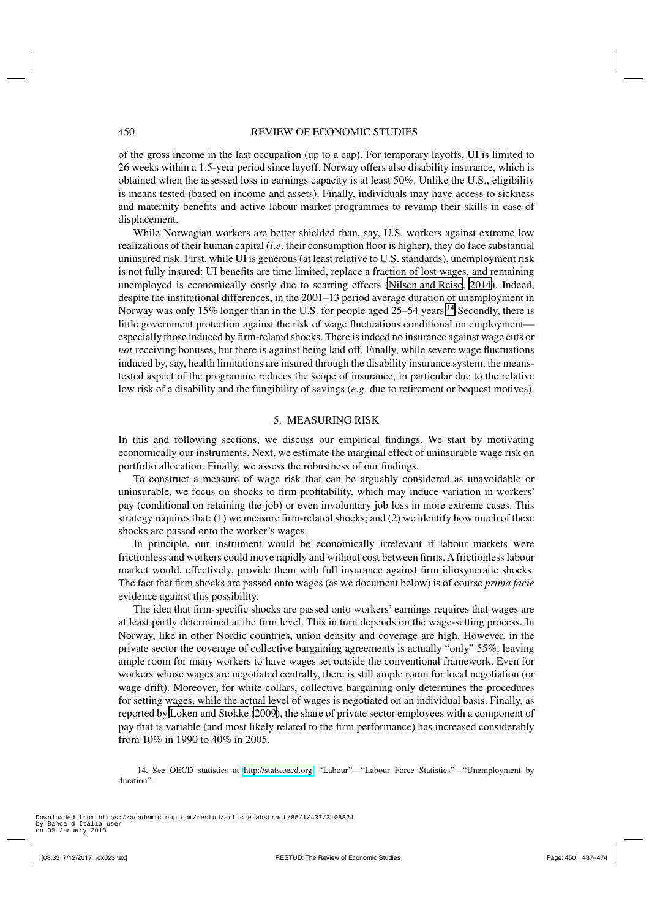<span id="page-13-0"></span>of the gross income in the last occupation (up to a cap). For temporary layoffs, UI is limited to 26 weeks within a 1.5-year period since layoff. Norway offers also disability insurance, which is obtained when the assessed loss in earnings capacity is at least 50%. Unlike the U.S., eligibility is means tested (based on income and assets). Finally, individuals may have access to sickness and maternity benefits and active labour market programmes to revamp their skills in case of displacement.

While Norwegian workers are better shielded than, say, U.S. workers against extreme low realizations of their human capital (*i*.*e*. their consumption floor is higher), they do face substantial uninsured risk. First, while UI is generous (at least relative to U.S. standards), unemployment risk is not fully insured: UI benefits are time limited, replace a fraction of lost wages, and remaining unemployed is economically costly due to scarring effects [\(Nilsen and Reiso, 2014\)](#page-37-0). Indeed, despite the institutional differences, in the 2001–13 period average duration of unemployment in Norway was only 15% longer than in the U.S. for people aged 25–54 years.<sup>14</sup> Secondly, there is little government protection against the risk of wage fluctuations conditional on employment especially those induced by firm-related shocks. There is indeed no insurance against wage cuts or *not* receiving bonuses, but there is against being laid off. Finally, while severe wage fluctuations induced by, say, health limitations are insured through the disability insurance system, the meanstested aspect of the programme reduces the scope of insurance, in particular due to the relative low risk of a disability and the fungibility of savings (*e*.*g*. due to retirement or bequest motives).

# 5. MEASURING RISK

In this and following sections, we discuss our empirical findings. We start by motivating economically our instruments. Next, we estimate the marginal effect of uninsurable wage risk on portfolio allocation. Finally, we assess the robustness of our findings.

To construct a measure of wage risk that can be arguably considered as unavoidable or uninsurable, we focus on shocks to firm profitability, which may induce variation in workers' pay (conditional on retaining the job) or even involuntary job loss in more extreme cases. This strategy requires that: (1) we measure firm-related shocks; and (2) we identify how much of these shocks are passed onto the worker's wages.

In principle, our instrument would be economically irrelevant if labour markets were frictionless and workers could move rapidly and without cost between firms. A frictionless labour market would, effectively, provide them with full insurance against firm idiosyncratic shocks. The fact that firm shocks are passed onto wages (as we document below) is of course *prima facie* evidence against this possibility.

The idea that firm-specific shocks are passed onto workers' earnings requires that wages are at least partly determined at the firm level. This in turn depends on the wage-setting process. In Norway, like in other Nordic countries, union density and coverage are high. However, in the private sector the coverage of collective bargaining agreements is actually "only" 55%, leaving ample room for many workers to have wages set outside the conventional framework. Even for workers whose wages are negotiated centrally, there is still ample room for local negotiation (or wage drift). Moreover, for white collars, collective bargaining only determines the procedures for setting wages, while the actual level of wages is negotiated on an individual basis. Finally, as reported by [Loken and Stokke](#page-37-0) [\(2009\)](#page-37-0), the share of private sector employees with a component of pay that is variable (and most likely related to the firm performance) has increased considerably from 10% in 1990 to 40% in 2005.

14. See OECD statistics at [http://stats.oecd.org.](http://stats.oecd.org) "Labour"—"Labour Force Statistics"—"Unemployment by duration".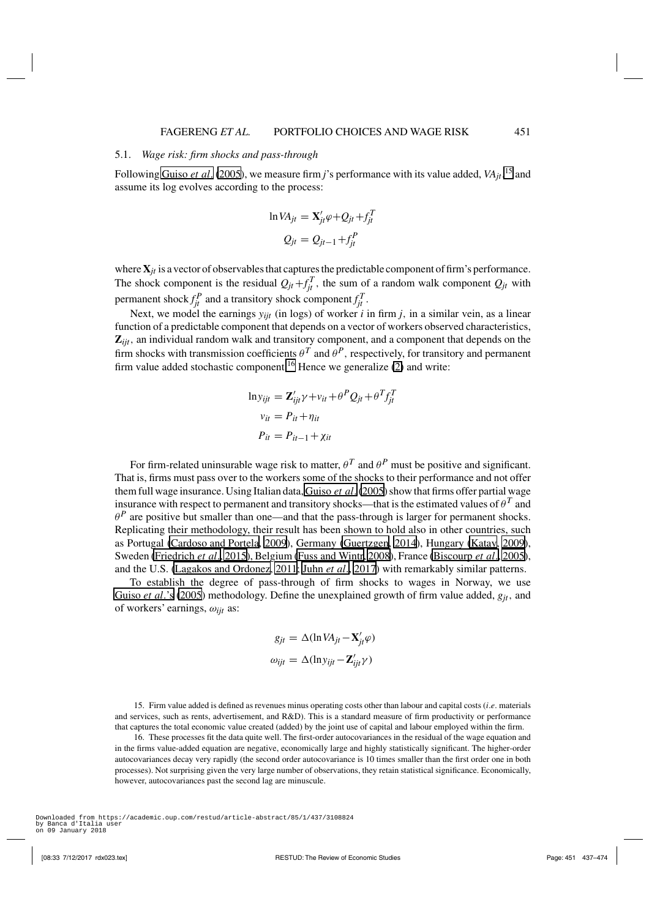## 5.1. *Wage risk: firm shocks and pass-through*

Following [Guiso](#page-36-0) *et al*. [\(2005](#page-36-0)), we measure firm *j*'s performance with its value added, *VAjt*, <sup>15</sup> and assume its log evolves according to the process:

$$
\ln VA_{jt} = \mathbf{X}'_{jt} \varphi + Q_{jt} + f_{jt}^T
$$

$$
Q_{jt} = Q_{jt-1} + f_{jt}^P
$$

where**X***jt* is a vector of observables that captures the predictable component of firm's performance. The shock component is the residual  $Q_{jt} + f_{jt}^T$ , the sum of a random walk component  $Q_{jt}$  with permanent shock  $f_{jt}^P$  and a transitory shock component  $f_{jt}^T$ .

Next, we model the earnings *yijt* (in logs) of worker *i* in firm *j*, in a similar vein, as a linear function of a predictable component that depends on a vector of workers observed characteristics, **Z***ijt*, an individual random walk and transitory component, and a component that depends on the firm shocks with transmission coefficients  $\theta^T$  and  $\theta^P$ , respectively, for transitory and permanent firm value added stochastic component.<sup>16</sup> Hence we generalize  $(2)$  and write:

$$
\ln y_{ijt} = \mathbf{Z}_{ijt}' \gamma + v_{it} + \theta^P Q_{jt} + \theta^T f_{jt}^T
$$
  

$$
v_{it} = P_{it} + \eta_{it}
$$
  

$$
P_{it} = P_{it-1} + \chi_{it}
$$

For firm-related uninsurable wage risk to matter,  $\theta^T$  and  $\theta^P$  must be positive and significant. That is, firms must pass over to the workers some of the shocks to their performance and not offer them full wage insurance. Using Italian data, [Guiso](#page-36-0) *et al*.[\(2005](#page-36-0)) show that firms offer partial wage insurance with respect to permanent and transitory shocks—that is the estimated values of  $\theta^T$  and  $\theta^P$  are positive but smaller than one—and that the pass-through is larger for permanent shocks. Replicating their methodology, their result has been shown to hold also in other countries, such as Portugal [\(Cardoso and Portela, 2009](#page-36-0)), Germany [\(Guertzgen, 2014](#page-36-0)), Hungary [\(Katay, 2009](#page-36-0)), Sweden [\(Friedrich](#page-36-0) *et al*., [2015](#page-36-0)), Belgium [\(Fuss and Wintr, 2008\)](#page-36-0), France [\(Biscourp](#page-35-0) *et al*., [2005](#page-35-0)), and the U.S. [\(Lagakos and Ordonez](#page-36-0), [2011; Juhn](#page-36-0) *et al*., [2017](#page-36-0)) with remarkably similar patterns.

To establish the degree of pass-through of firm shocks to wages in Norway, we use [Guiso](#page-36-0) *et al*.'s [\(2005](#page-36-0)) methodology. Define the unexplained growth of firm value added, *gjt*, and of workers' earnings, ω*ijt* as:

$$
g_{jt} = \Delta(\ln VA_{jt} - \mathbf{X}'_{jt}\varphi)
$$

$$
\omega_{ijt} = \Delta(\ln y_{ijt} - \mathbf{Z}'_{ijt}\gamma)
$$

15. Firm value added is defined as revenues minus operating costs other than labour and capital costs (*i*.*e*. materials and services, such as rents, advertisement, and R&D). This is a standard measure of firm productivity or performance that captures the total economic value created (added) by the joint use of capital and labour employed within the firm.

16. These processes fit the data quite well. The first-order autocovariances in the residual of the wage equation and in the firms value-added equation are negative, economically large and highly statistically significant. The higher-order autocovariances decay very rapidly (the second order autocovariance is 10 times smaller than the first order one in both processes). Not surprising given the very large number of observations, they retain statistical significance. Economically, however, autocovariances past the second lag are minuscule.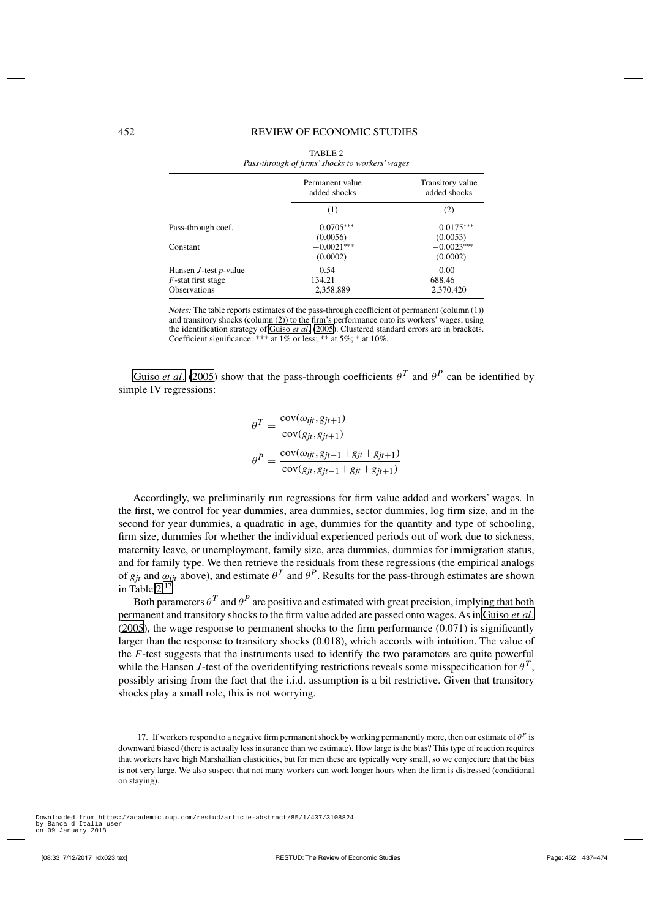<span id="page-15-0"></span>

|                             | Permanent value<br>added shocks | Transitory value<br>added shocks |
|-----------------------------|---------------------------------|----------------------------------|
|                             | (1)                             | (2)                              |
| Pass-through coef.          | $0.0705***$                     | $0.0175***$                      |
|                             | (0.0056)                        | (0.0053)                         |
| Constant                    | $-0.0021***$                    | $-0.0023***$                     |
|                             | (0.0002)                        | (0.0002)                         |
| Hansen $J$ -test $p$ -value | 0.54                            | 0.00                             |
| $F$ -stat first stage       | 134.21                          | 688.46                           |
| <b>Observations</b>         | 2,358,889                       | 2.370.420                        |

| TABLE 2                                         |
|-------------------------------------------------|
| Pass-through of firms' shocks to workers' wages |

*Notes:* The table reports estimates of the pass-through coefficient of permanent (column (1)) and transitory shocks (column (2)) to the firm's performance onto its workers' wages, using the identification strategy of [Guiso](#page-36-0) *et al*. [\(2005\)](#page-36-0). Clustered standard errors are in brackets. Coefficient significance: \*\*\* at 1% or less; \*\* at 5%; \* at 10%.

[Guiso](#page-36-0) *et al.* [\(2005](#page-36-0)) show that the pass-through coefficients  $\theta^T$  and  $\theta^P$  can be identified by simple IV regressions:

$$
\theta^T = \frac{\text{cov}(\omega_{ijt}, g_{jt+1})}{\text{cov}(g_{jt}, g_{jt+1})}
$$

$$
\theta^P = \frac{\text{cov}(\omega_{ijt}, g_{jt-1} + g_{jt} + g_{jt+1})}{\text{cov}(g_{jt}, g_{jt-1} + g_{jt} + g_{jt+1})}
$$

Accordingly, we preliminarily run regressions for firm value added and workers' wages. In the first, we control for year dummies, area dummies, sector dummies, log firm size, and in the second for year dummies, a quadratic in age, dummies for the quantity and type of schooling, firm size, dummies for whether the individual experienced periods out of work due to sickness, maternity leave, or unemployment, family size, area dummies, dummies for immigration status, and for family type. We then retrieve the residuals from these regressions (the empirical analogs of  $g_{it}$  and  $\omega_{it}$  above), and estimate  $\theta^T$  and  $\theta^P$ . Results for the pass-through estimates are shown in Table  $2.1^{7}$ 

Both parameters  $\theta^T$  and  $\theta^P$  are positive and estimated with great precision, implying that both permanent and transitory shocks to the firm value added are passed onto wages. As in [Guiso](#page-36-0) *et al*. [\(2005](#page-36-0)), the wage response to permanent shocks to the firm performance (0.071) is significantly larger than the response to transitory shocks (0.018), which accords with intuition. The value of the *F*-test suggests that the instruments used to identify the two parameters are quite powerful while the Hansen *J*-test of the overidentifying restrictions reveals some misspecification for  $\theta^T$ , possibly arising from the fact that the i.i.d. assumption is a bit restrictive. Given that transitory shocks play a small role, this is not worrying.

17. If workers respond to a negative firm permanent shock by working permanently more, then our estimate of  $\theta^P$  is downward biased (there is actually less insurance than we estimate). How large is the bias? This type of reaction requires that workers have high Marshallian elasticities, but for men these are typically very small, so we conjecture that the bias is not very large. We also suspect that not many workers can work longer hours when the firm is distressed (conditional on staying).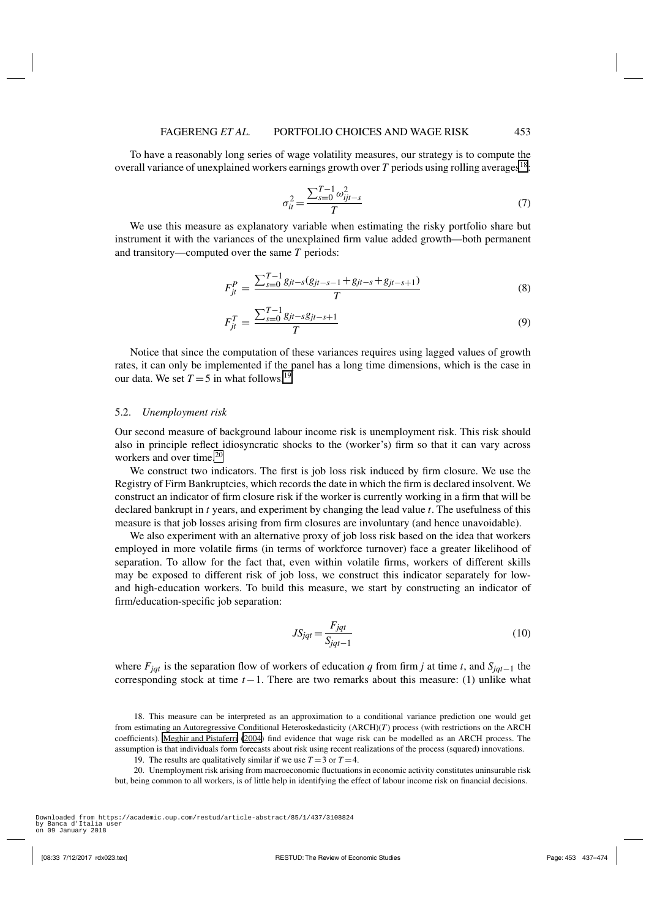<span id="page-16-0"></span>To have a reasonably long series of wage volatility measures, our strategy is to compute the overall variance of unexplained workers earnings growth over  $T$  periods using rolling averages<sup>18</sup>:

$$
\sigma_{ii}^2 = \frac{\sum_{s=0}^{T-1} \omega_{ijt-s}^2}{T}
$$
\n(7)

We use this measure as explanatory variable when estimating the risky portfolio share but instrument it with the variances of the unexplained firm value added growth—both permanent and transitory—computed over the same *T* periods:

$$
F_{jt}^{P} = \frac{\sum_{s=0}^{T-1} g_{jt-s}(g_{jt-s-1} + g_{jt-s} + g_{jt-s+1})}{T}
$$
(8)

$$
F_{jt}^T = \frac{\sum_{s=0}^{T-1} g_{jt-s} g_{jt-s+1}}{T}
$$
\n(9)

Notice that since the computation of these variances requires using lagged values of growth rates, it can only be implemented if the panel has a long time dimensions, which is the case in our data. We set  $T = 5$  in what follows.<sup>19</sup>

## 5.2. *Unemployment risk*

Our second measure of background labour income risk is unemployment risk. This risk should also in principle reflect idiosyncratic shocks to the (worker's) firm so that it can vary across workers and over time.<sup>20</sup>

We construct two indicators. The first is job loss risk induced by firm closure. We use the Registry of Firm Bankruptcies, which records the date in which the firm is declared insolvent. We construct an indicator of firm closure risk if the worker is currently working in a firm that will be declared bankrupt in *t* years, and experiment by changing the lead value *t*. The usefulness of this measure is that job losses arising from firm closures are involuntary (and hence unavoidable).

We also experiment with an alternative proxy of job loss risk based on the idea that workers employed in more volatile firms (in terms of workforce turnover) face a greater likelihood of separation. To allow for the fact that, even within volatile firms, workers of different skills may be exposed to different risk of job loss, we construct this indicator separately for lowand high-education workers. To build this measure, we start by constructing an indicator of firm/education-specific job separation:

$$
JS_{jqt} = \frac{F_{jqt}}{S_{jqt-1}}
$$
\n(10)

where *Fjqt* is the separation flow of workers of education *q* from firm *j* at time *t*, and *Sjqt*−1 the corresponding stock at time *t*−1. There are two remarks about this measure: (1) unlike what

18. This measure can be interpreted as an approximation to a conditional variance prediction one would get from estimating an Autoregressive Conditional Heteroskedasticity (ARCH)(*T*) process (with restrictions on the ARCH coefficients). [Meghir and Pistaferri](#page-37-0) [\(2004\)](#page-37-0) find evidence that wage risk can be modelled as an ARCH process. The assumption is that individuals form forecasts about risk using recent realizations of the process (squared) innovations.

19. The results are qualitatively similar if we use  $T = 3$  or  $T = 4$ .

20. Unemployment risk arising from macroeconomic fluctuations in economic activity constitutes uninsurable risk but, being common to all workers, is of little help in identifying the effect of labour income risk on financial decisions.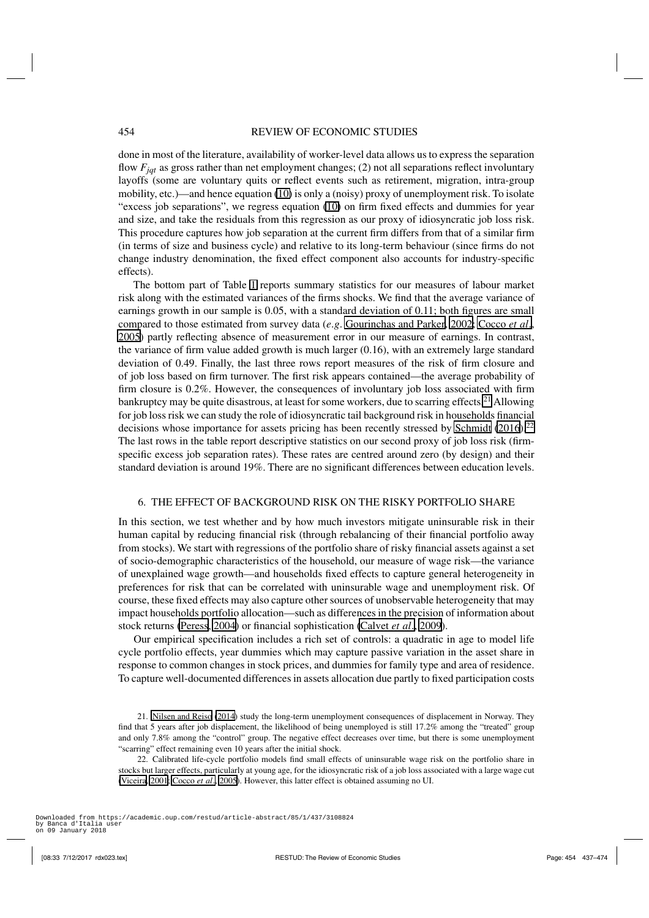<span id="page-17-0"></span>done in most of the literature, availability of worker-level data allows us to express the separation flow *Fjqt* as gross rather than net employment changes; (2) not all separations reflect involuntary layoffs (some are voluntary quits or reflect events such as retirement, migration, intra-group mobility, etc.)—and hence equation [\(10\)](#page-16-0) is only a (noisy) proxy of unemployment risk. To isolate "excess job separations", we regress equation [\(10\)](#page-16-0) on firm fixed effects and dummies for year and size, and take the residuals from this regression as our proxy of idiosyncratic job loss risk. This procedure captures how job separation at the current firm differs from that of a similar firm (in terms of size and business cycle) and relative to its long-term behaviour (since firms do not change industry denomination, the fixed effect component also accounts for industry-specific effects).

The bottom part of Table [1](#page-12-0) reports summary statistics for our measures of labour market risk along with the estimated variances of the firms shocks. We find that the average variance of earnings growth in our sample is 0.05, with a standard deviation of 0.11; both figures are small compared to those estimated from survey data (*e*.*g*. [Gourinchas and Parker](#page-36-0), [2002](#page-36-0); [Cocco](#page-36-0) *et al*., [2005\)](#page-36-0) partly reflecting absence of measurement error in our measure of earnings. In contrast, the variance of firm value added growth is much larger (0.16), with an extremely large standard deviation of 0.49. Finally, the last three rows report measures of the risk of firm closure and of job loss based on firm turnover. The first risk appears contained—the average probability of firm closure is 0.2%. However, the consequences of involuntary job loss associated with firm bankruptcy may be quite disastrous, at least for some workers, due to scarring effects.<sup>21</sup> Allowing for job loss risk we can study the role of idiosyncratic tail background risk in households financial decisions whose importance for assets pricing has been recently stressed by [Schmidt](#page-37-0) [\(2016\)](#page-37-0).<sup>22</sup> The last rows in the table report descriptive statistics on our second proxy of job loss risk (firmspecific excess job separation rates). These rates are centred around zero (by design) and their standard deviation is around 19%. There are no significant differences between education levels.

# 6. THE EFFECT OF BACKGROUND RISK ON THE RISKY PORTFOLIO SHARE

In this section, we test whether and by how much investors mitigate uninsurable risk in their human capital by reducing financial risk (through rebalancing of their financial portfolio away from stocks). We start with regressions of the portfolio share of risky financial assets against a set of socio-demographic characteristics of the household, our measure of wage risk—the variance of unexplained wage growth—and households fixed effects to capture general heterogeneity in preferences for risk that can be correlated with uninsurable wage and unemployment risk. Of course, these fixed effects may also capture other sources of unobservable heterogeneity that may impact households portfolio allocation—such as differences in the precision of information about stock returns [\(Peress](#page-37-0), [2004](#page-37-0)) or financial sophistication [\(Calvet](#page-36-0) *et al*., [2009](#page-36-0)).

Our empirical specification includes a rich set of controls: a quadratic in age to model life cycle portfolio effects, year dummies which may capture passive variation in the asset share in response to common changes in stock prices, and dummies for family type and area of residence. To capture well-documented differences in assets allocation due partly to fixed participation costs

<sup>21.</sup> [Nilsen and Reiso](#page-37-0) [\(2014\)](#page-37-0) study the long-term unemployment consequences of displacement in Norway. They find that 5 years after job displacement, the likelihood of being unemployed is still 17.2% among the "treated" group and only 7.8% among the "control" group. The negative effect decreases over time, but there is some unemployment "scarring" effect remaining even 10 years after the initial shock.

<sup>22.</sup> Calibrated life-cycle portfolio models find small effects of uninsurable wage risk on the portfolio share in stocks but larger effects, particularly at young age, for the idiosyncratic risk of a job loss associated with a large wage cut [\(Viceira](#page-37-0), [2001](#page-37-0); [Cocco](#page-36-0) *et al*., [2005](#page-36-0)). However, this latter effect is obtained assuming no UI.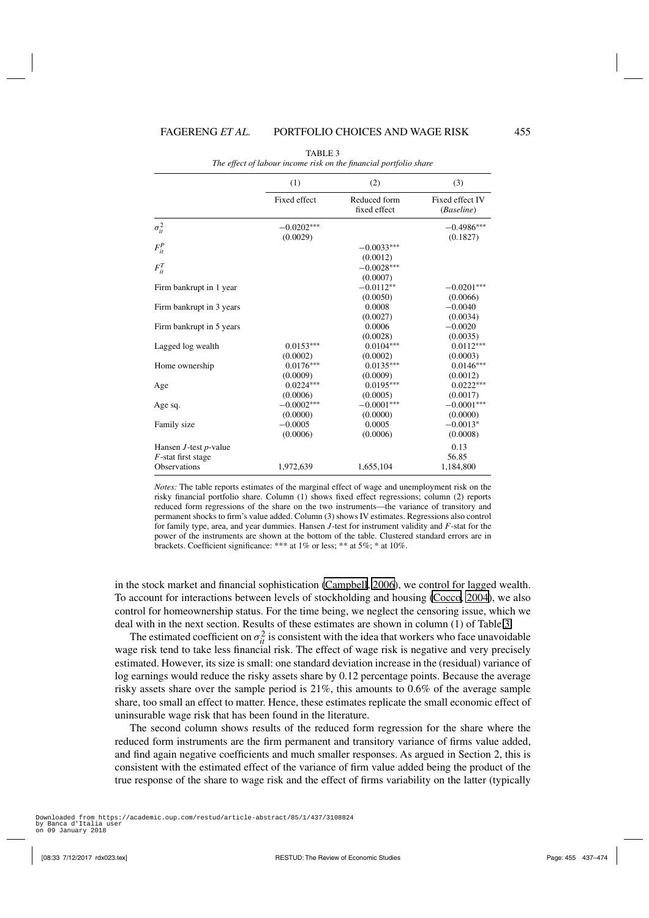<span id="page-18-0"></span>

|                             | (1)          | (2)                          | (3)                           |
|-----------------------------|--------------|------------------------------|-------------------------------|
|                             | Fixed effect | Reduced form<br>fixed effect | Fixed effect IV<br>(Baseline) |
| $\sigma_{it}^2$             | $-0.0202***$ |                              | $-0.4986***$                  |
|                             | (0.0029)     |                              | (0.1827)                      |
| $F_{it}^P$                  |              | $-0.0033***$                 |                               |
|                             |              | (0.0012)                     |                               |
| $F_{it}^T$                  |              | $-0.0028***$                 |                               |
|                             |              | (0.0007)                     |                               |
| Firm bankrupt in 1 year     |              | $-0.0112**$                  | $-0.0201***$                  |
|                             |              | (0.0050)                     | (0.0066)                      |
| Firm bankrupt in 3 years    |              | 0.0008                       | $-0.0040$                     |
|                             |              | (0.0027)                     | (0.0034)                      |
| Firm bankrupt in 5 years    |              | 0.0006                       | $-0.0020$                     |
|                             |              | (0.0028)                     | (0.0035)                      |
| Lagged log wealth           | $0.0153***$  | $0.0104***$                  | $0.0112***$                   |
|                             | (0.0002)     | (0.0002)                     | (0.0003)                      |
| Home ownership              | $0.0176***$  | $0.0135***$                  | $0.0146***$                   |
|                             | (0.0009)     | (0.0009)                     | (0.0012)                      |
| Age                         | $0.0224***$  | $0.0195***$                  | $0.0222***$                   |
|                             | (0.0006)     | (0.0005)                     | (0.0017)                      |
| Age sq.                     | $-0.0002***$ | $-0.0001***$                 | $-0.0001***$                  |
|                             | (0.0000)     | (0.0000)                     | (0.0000)                      |
| Family size                 | $-0.0005$    | 0.0005                       | $-0.0013*$                    |
|                             | (0.0006)     | (0.0006)                     | (0.0008)                      |
| Hansen $J$ -test $p$ -value |              |                              | 0.13                          |
| $F$ -stat first stage       |              |                              | 56.85                         |
| <b>Observations</b>         | 1,972,639    | 1,655,104                    | 1,184,800                     |

TABLE 3 *The effect of labour income risk on the financial portfolio share*

*Notes:* The table reports estimates of the marginal effect of wage and unemployment risk on the risky financial portfolio share. Column (1) shows fixed effect regressions; column (2) reports reduced form regressions of the share on the two instruments—the variance of transitory and permanent shocks to firm's value added. Column (3) shows IV estimates. Regressions also control for family type, area, and year dummies. Hansen *J*-test for instrument validity and *F*-stat for the power of the instruments are shown at the bottom of the table. Clustered standard errors are in brackets. Coefficient significance: \*\*\* at 1% or less; \*\* at 5%; \* at 10%.

in the stock market and financial sophistication [\(Campbell](#page-36-0), [2006](#page-36-0)), we control for lagged wealth. To account for interactions between levels of stockholding and housing [\(Cocco, 2004](#page-36-0)), we also control for homeownership status. For the time being, we neglect the censoring issue, which we deal with in the next section. Results of these estimates are shown in column (1) of Table 3.

The estimated coefficient on  $\sigma_{it}^2$  is consistent with the idea that workers who face unavoidable wage risk tend to take less financial risk. The effect of wage risk is negative and very precisely estimated. However, its size is small: one standard deviation increase in the (residual) variance of log earnings would reduce the risky assets share by 0.12 percentage points. Because the average risky assets share over the sample period is 21%, this amounts to 0.6% of the average sample share, too small an effect to matter. Hence, these estimates replicate the small economic effect of uninsurable wage risk that has been found in the literature.

The second column shows results of the reduced form regression for the share where the reduced form instruments are the firm permanent and transitory variance of firms value added, and find again negative coefficients and much smaller responses. As argued in Section 2, this is consistent with the estimated effect of the variance of firm value added being the product of the true response of the share to wage risk and the effect of firms variability on the latter (typically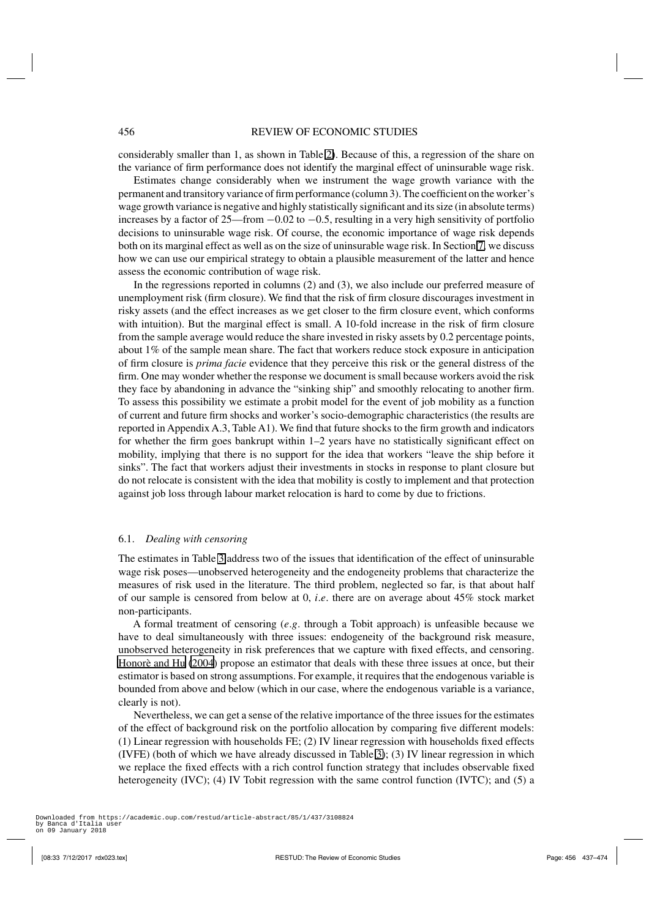considerably smaller than 1, as shown in Table [2\)](#page-15-0). Because of this, a regression of the share on the variance of firm performance does not identify the marginal effect of uninsurable wage risk.

Estimates change considerably when we instrument the wage growth variance with the permanent and transitory variance of firm performance (column 3). The coefficient on the worker's wage growth variance is negative and highly statistically significant and its size (in absolute terms) increases by a factor of 25—from −0.02 to −0.5, resulting in a very high sensitivity of portfolio decisions to uninsurable wage risk. Of course, the economic importance of wage risk depends both on its marginal effect as well as on the size of uninsurable wage risk. In Section [7,](#page-26-0) we discuss how we can use our empirical strategy to obtain a plausible measurement of the latter and hence assess the economic contribution of wage risk.

In the regressions reported in columns (2) and (3), we also include our preferred measure of unemployment risk (firm closure). We find that the risk of firm closure discourages investment in risky assets (and the effect increases as we get closer to the firm closure event, which conforms with intuition). But the marginal effect is small. A 10-fold increase in the risk of firm closure from the sample average would reduce the share invested in risky assets by 0.2 percentage points, about 1% of the sample mean share. The fact that workers reduce stock exposure in anticipation of firm closure is *prima facie* evidence that they perceive this risk or the general distress of the firm. One may wonder whether the response we document is small because workers avoid the risk they face by abandoning in advance the "sinking ship" and smoothly relocating to another firm. To assess this possibility we estimate a probit model for the event of job mobility as a function of current and future firm shocks and worker's socio-demographic characteristics (the results are reported in Appendix A.3, Table A1). We find that future shocks to the firm growth and indicators for whether the firm goes bankrupt within 1–2 years have no statistically significant effect on mobility, implying that there is no support for the idea that workers "leave the ship before it sinks". The fact that workers adjust their investments in stocks in response to plant closure but do not relocate is consistent with the idea that mobility is costly to implement and that protection against job loss through labour market relocation is hard to come by due to frictions.

# 6.1. *Dealing with censoring*

The estimates in Table [3](#page-18-0) address two of the issues that identification of the effect of uninsurable wage risk poses—unobserved heterogeneity and the endogeneity problems that characterize the measures of risk used in the literature. The third problem, neglected so far, is that about half of our sample is censored from below at 0, *i*.*e*. there are on average about 45% stock market non-participants.

A formal treatment of censoring (*e*.*g*. through a Tobit approach) is unfeasible because we have to deal simultaneously with three issues: endogeneity of the background risk measure, unobserved heterogeneity in risk preferences that we capture with fixed effects, and censoring. [Honorè and Hu](#page-36-0) [\(2004](#page-36-0)) propose an estimator that deals with these three issues at once, but their estimator is based on strong assumptions. For example, it requires that the endogenous variable is bounded from above and below (which in our case, where the endogenous variable is a variance, clearly is not).

Nevertheless, we can get a sense of the relative importance of the three issues for the estimates of the effect of background risk on the portfolio allocation by comparing five different models: (1) Linear regression with households FE; (2) IV linear regression with households fixed effects (IVFE) (both of which we have already discussed in Table [3\)](#page-18-0); (3) IV linear regression in which we replace the fixed effects with a rich control function strategy that includes observable fixed heterogeneity (IVC); (4) IV Tobit regression with the same control function (IVTC); and (5) a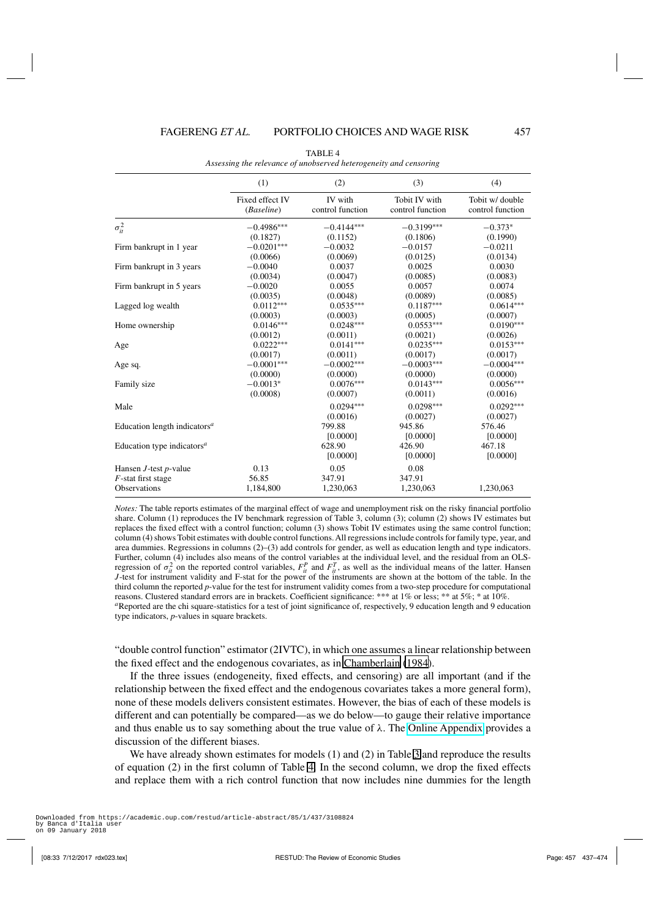<span id="page-20-0"></span>

|                                                                                                                                                                              | (1)                           | (2)                                                                                 | (3)                                                                  | (4)                                                     |
|------------------------------------------------------------------------------------------------------------------------------------------------------------------------------|-------------------------------|-------------------------------------------------------------------------------------|----------------------------------------------------------------------|---------------------------------------------------------|
|                                                                                                                                                                              | Fixed effect IV<br>(Baseline) | <b>IV</b> with<br>control function                                                  | Tobit IV with<br>control function                                    | Tobit w/ double<br>control function                     |
| $\sigma_{it}^2$                                                                                                                                                              | $-0.4986***$                  | $-0.4144***$                                                                        | $-0.3199***$                                                         | $-0.373*$                                               |
|                                                                                                                                                                              | (0.1827)                      | (0.1152)                                                                            | (0.1806)                                                             | (0.1990)                                                |
| Firm bankrupt in 1 year                                                                                                                                                      | $-0.0201***$                  | $-0.0032$                                                                           | $-0.0157$                                                            | $-0.0211$                                               |
|                                                                                                                                                                              | (0.0066)                      | (0.0069)                                                                            | (0.0125)                                                             | (0.0134)                                                |
| Firm bankrupt in 3 years                                                                                                                                                     | $-0.0040$                     | 0.0037                                                                              | 0.0025                                                               | 0.0030                                                  |
|                                                                                                                                                                              | (0.0034)                      | (0.0047)                                                                            | (0.0085)                                                             | (0.0083)                                                |
| Firm bankrupt in 5 years                                                                                                                                                     | $-0.0020$                     | 0.0055                                                                              | 0.0057                                                               | 0.0074                                                  |
|                                                                                                                                                                              | (0.0035)                      | (0.0048)                                                                            | (0.0089)                                                             | (0.0085)                                                |
| Lagged log wealth                                                                                                                                                            | $0.0112***$                   | $0.0535***$                                                                         | $0.1187***$                                                          | $0.0614***$                                             |
|                                                                                                                                                                              | (0.0003)                      | (0.0003)                                                                            | (0.0005)                                                             | (0.0007)                                                |
| Home ownership                                                                                                                                                               | $0.0146***$                   | $0.0248***$                                                                         | $0.0553***$                                                          | $0.0190***$                                             |
|                                                                                                                                                                              | (0.0012)                      | (0.0011)                                                                            | (0.0021)                                                             | (0.0026)                                                |
| Age                                                                                                                                                                          | $0.0222***$                   | $0.0141***$                                                                         | $0.0235***$                                                          | $0.0153***$                                             |
|                                                                                                                                                                              | (0.0017)                      | (0.0011)                                                                            | (0.0017)                                                             | (0.0017)                                                |
| Age sq.                                                                                                                                                                      | $-0.0001***$                  | $-0.0002***$                                                                        | $-0.0003***$                                                         | $-0.0004***$                                            |
|                                                                                                                                                                              | (0.0000)                      | (0.0000)                                                                            | (0.0000)                                                             | (0.0000)                                                |
| Family size                                                                                                                                                                  | $-0.0013*$                    |                                                                                     | $0.0143***$                                                          | $0.0056***$                                             |
|                                                                                                                                                                              | (0.0008)                      | (0.0007)                                                                            | (0.0011)                                                             | (0.0016)                                                |
|                                                                                                                                                                              |                               |                                                                                     |                                                                      |                                                         |
|                                                                                                                                                                              |                               |                                                                                     |                                                                      |                                                         |
|                                                                                                                                                                              |                               |                                                                                     |                                                                      |                                                         |
|                                                                                                                                                                              |                               |                                                                                     |                                                                      |                                                         |
|                                                                                                                                                                              |                               |                                                                                     |                                                                      |                                                         |
|                                                                                                                                                                              |                               | [0.0000]                                                                            | [0.0000]                                                             | [0.0000]                                                |
|                                                                                                                                                                              | 0.13                          | 0.05                                                                                | 0.08                                                                 |                                                         |
|                                                                                                                                                                              | 56.85                         | 347.91                                                                              | 347.91                                                               |                                                         |
| <b>Observations</b>                                                                                                                                                          | 1,184,800                     |                                                                                     |                                                                      | 1,230,063                                               |
| Male<br>Education length indicators <sup><math>a</math></sup><br>Education type indicators <sup><math>a</math></sup><br>Hansen $J$ -test $p$ -value<br>$F$ -stat first stage |                               | $0.0076***$<br>$0.0294***$<br>(0.0016)<br>799.88<br>[0.0000]<br>628.90<br>1,230,063 | $0.0298***$<br>(0.0027)<br>945.86<br>[0.0000]<br>426.90<br>1,230,063 | $0.0292***$<br>(0.0027)<br>576.46<br>[0.0000]<br>467.18 |

TABLE 4 *Assessing the relevance of unobserved heterogeneity and censoring*

*Notes:* The table reports estimates of the marginal effect of wage and unemployment risk on the risky financial portfolio share. Column (1) reproduces the IV benchmark regression of Table 3, column (3); column (2) shows IV estimates but replaces the fixed effect with a control function; column (3) shows Tobit IV estimates using the same control function; column (4) shows Tobit estimates with double control functions. All regressions include controls for family type, year, and area dummies. Regressions in columns (2)–(3) add controls for gender, as well as education length and type indicators. Further, column (4) includes also means of the control variables at the individual level, and the residual from an OLSregression of  $\sigma_{it}^2$  on the reported control variables,  $F_{it}^P$  and  $F_{it}^T$ , as well as the individual means of the latter. Hansen *J*-test for instrument validity and F-stat for the power of the instruments are shown at the bottom of the table. In the third column the reported *p*-value for the test for instrument validity comes from a two-step procedure for computational reasons. Clustered standard errors are in brackets. Coefficient significance: \*\*\* at 1% or less; \*\* at 5%; \* at 10%. *<sup>a</sup>*Reported are the chi square-statistics for a test of joint significance of, respectively, 9 education length and 9 education

type indicators, *p*-values in square brackets.

"double control function" estimator (2IVTC), in which one assumes a linear relationship between the fixed effect and the endogenous covariates, as in [Chamberlain](#page-36-0) [\(1984\)](#page-36-0).

If the three issues (endogeneity, fixed effects, and censoring) are all important (and if the relationship between the fixed effect and the endogenous covariates takes a more general form), none of these models delivers consistent estimates. However, the bias of each of these models is different and can potentially be compared—as we do below—to gauge their relative importance and thus enable us to say something about the true value of  $\lambda$ . The [Online Appendix](http://restud.oxfordjournals.org/lookup/suppl/doi:10.1093/restud/rdx023/-/DC1) provides a discussion of the different biases.

We have already shown estimates for models (1) and (2) in Table [3](#page-18-0) and reproduce the results of equation (2) in the first column of Table 4. In the second column, we drop the fixed effects and replace them with a rich control function that now includes nine dummies for the length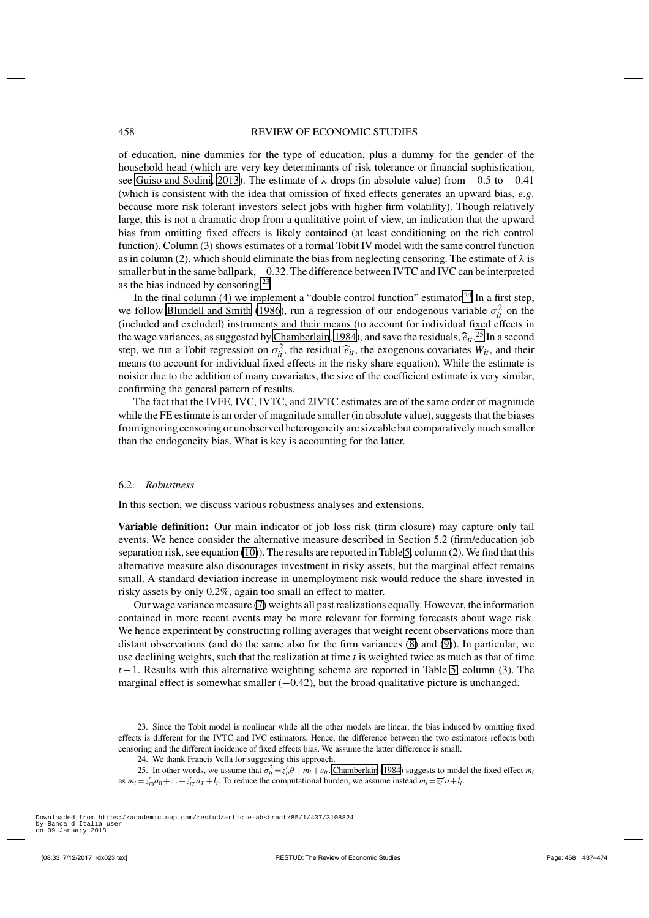of education, nine dummies for the type of education, plus a dummy for the gender of the household head (which are very key determinants of risk tolerance or financial sophistication, see [Guiso and Sodini, 2013\)](#page-36-0). The estimate of  $\lambda$  drops (in absolute value) from  $-0.5$  to  $-0.41$ (which is consistent with the idea that omission of fixed effects generates an upward bias, *e*.*g*. because more risk tolerant investors select jobs with higher firm volatility). Though relatively large, this is not a dramatic drop from a qualitative point of view, an indication that the upward bias from omitting fixed effects is likely contained (at least conditioning on the rich control function). Column (3) shows estimates of a formal Tobit IV model with the same control function as in column (2), which should eliminate the bias from neglecting censoring. The estimate of  $\lambda$  is smaller but in the same ballpark,  $-0.32$ . The difference between IVTC and IVC can be interpreted as the bias induced by censoring.<sup>23</sup>

In the final column (4) we implement a "double control function" estimator.<sup>24</sup> In a first step, we follow [Blundell and Smith](#page-36-0) [\(1986](#page-36-0)), run a regression of our endogenous variable  $\sigma_{it}^2$  on the (included and excluded) instruments and their means (to account for individual fixed effects in the wage variances, as suggested by [Chamberlain, 1984\)](#page-36-0), and save the residuals,  $\hat{e}_{it}^{i}$ <sup>25</sup>. In a second<br>the wage was up a Tehit recreasion on  $\sigma^2$ , the residual  $\hat{e}_i$ , the avecausus equations W<sub>r</sub>, and their step, we run a Tobit regression on  $\sigma_{it}^2$ , the residual  $\hat{e}_{it}$ , the exogenous covariates  $W_{it}$ , and their means (to assess the individual fixed offects in the right share countion). While the estimate is means (to account for individual fixed effects in the risky share equation). While the estimate is noisier due to the addition of many covariates, the size of the coefficient estimate is very similar, confirming the general pattern of results.

The fact that the IVFE, IVC, IVTC, and 2IVTC estimates are of the same order of magnitude while the FE estimate is an order of magnitude smaller (in absolute value), suggests that the biases from ignoring censoring or unobserved heterogeneity are sizeable but comparatively much smaller than the endogeneity bias. What is key is accounting for the latter.

# 6.2. *Robustness*

In this section, we discuss various robustness analyses and extensions.

**Variable definition:** Our main indicator of job loss risk (firm closure) may capture only tail events. We hence consider the alternative measure described in Section 5.2 (firm/education job separation risk, see equation [\(10\)](#page-16-0)). The results are reported in Table [5,](#page-22-0) column (2). We find that this alternative measure also discourages investment in risky assets, but the marginal effect remains small. A standard deviation increase in unemployment risk would reduce the share invested in risky assets by only 0.2%, again too small an effect to matter.

Our wage variance measure [\(7\)](#page-16-0) weights all past realizations equally. However, the information contained in more recent events may be more relevant for forming forecasts about wage risk. We hence experiment by constructing rolling averages that weight recent observations more than distant observations (and do the same also for the firm variances [\(8\)](#page-16-0) and [\(9\)](#page-16-0)). In particular, we use declining weights, such that the realization at time *t* is weighted twice as much as that of time *t*−1. Results with this alternative weighting scheme are reported in Table [5,](#page-22-0) column (3). The marginal effect is somewhat smaller  $(-0.42)$ , but the broad qualitative picture is unchanged.

24. We thank Francis Vella for suggesting this approach.

25. In other words, we assume that  $\sigma_{it}^2 = z_{it}^{\prime} \theta + m_i + \varepsilon_{it}$ . [Chamberlain](#page-36-0) [\(1984\)](#page-36-0) suggests to model the fixed effect  $m_i$ as  $m_i = z'_{i0}a_0 + ... + z'_{iT}a_T + l_i$ . To reduce the computational burden, we assume instead  $m_i = \overline{z_i}'a + l_i$ .

<sup>23.</sup> Since the Tobit model is nonlinear while all the other models are linear, the bias induced by omitting fixed effects is different for the IVTC and IVC estimators. Hence, the difference between the two estimators reflects both censoring and the different incidence of fixed effects bias. We assume the latter difference is small.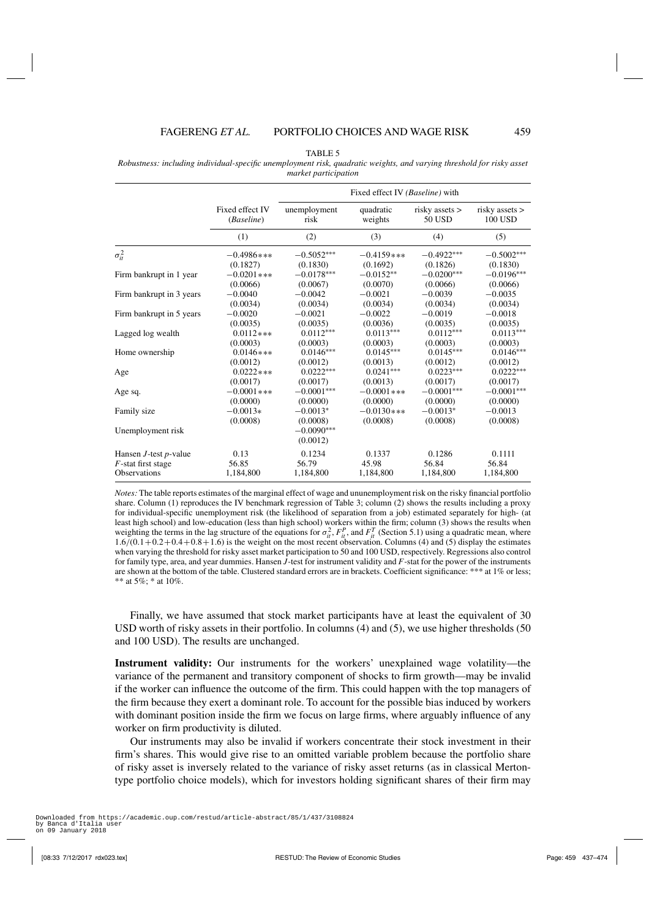| TABLE 5 |  |
|---------|--|
|---------|--|

<span id="page-22-0"></span>*Robustness: including individual-specific unemployment risk, quadratic weights, and varying threshold for risky asset market participation*

|                             | Fixed effect IV (Baseline) with |                                      |               |                    |                |
|-----------------------------|---------------------------------|--------------------------------------|---------------|--------------------|----------------|
|                             | Fixed effect IV                 | unemployment                         | quadratic     | $risky$ assets $>$ | risky assets > |
|                             | (Baseline)                      | risk                                 | weights       | 50 USD             | 100 USD        |
|                             | (1)                             | (2)                                  | (3)           | (4)                | (5)            |
| $\sigma_{it}^2$             | $-0.4986$ ***                   | $-0.5052***$                         | $-0.4159$ *** | $-0.4922***$       | $-0.5002***$   |
| Firm bankrupt in 1 year     | (0.1827)                        | (0.1830)                             | (0.1692)      | (0.1826)           | (0.1830)       |
|                             | $-0.0201$ ***                   | $-0.0178***$                         | $-0.0152**$   | $-0.0200***$       | $-0.0196***$   |
| Firm bankrupt in 3 years    | (0.0066)                        | (0.0067)                             | (0.0070)      | (0.0066)           | (0.0066)       |
|                             | $-0.0040$                       | $-0.0042$                            | $-0.0021$     | $-0.0039$          | $-0.0035$      |
| Firm bankrupt in 5 years    | (0.0034)                        | (0.0034)                             | (0.0034)      | (0.0034)           | (0.0034)       |
|                             | $-0.0020$                       | $-0.0021$                            | $-0.0022$     | $-0.0019$          | $-0.0018$      |
| Lagged log wealth           | (0.0035)                        | (0.0035)                             | (0.0036)      | (0.0035)           | (0.0035)       |
|                             | $0.0112***$                     | $0.0112***$                          | $0.0113***$   | $0.0112***$        | $0.0113***$    |
| Home ownership              | (0.0003)                        | (0.0003)                             | (0.0003)      | (0.0003)           | (0.0003)       |
|                             | $0.0146$ ***                    | $0.0146***$                          | $0.0145***$   | $0.0145***$        | $0.0146***$    |
| Age                         | (0.0012)                        | (0.0012)                             | (0.0013)      | (0.0012)           | (0.0012)       |
|                             | $0.0222***$                     | $0.0222***$                          | $0.0241***$   | $0.0223***$        | $0.0222***$    |
| Age sq.                     | (0.0017)                        | (0.0017)                             | (0.0013)      | (0.0017)           | (0.0017)       |
|                             | $-0.0001$ ***                   | $-0.0001***$                         | $-0.0001$ *** | $-0.0001***$       | $-0.0001***$   |
| Family size                 | (0.0000)                        | (0.0000)                             | (0.0000)      | (0.0000)           | (0.0000)       |
|                             | $-0.0013*$                      | $-0.0013*$                           | $-0.0130$ *** | $-0.0013*$         | $-0.0013$      |
| Unemployment risk           | (0.0008)                        | (0.0008)<br>$-0.0090***$<br>(0.0012) | (0.0008)      | (0.0008)           | (0.0008)       |
| Hansen $J$ -test $p$ -value | 0.13                            | 0.1234                               | 0.1337        | 0.1286             | 0.1111         |
| $F$ -stat first stage       | 56.85                           | 56.79                                | 45.98         | 56.84              | 56.84          |
| <b>Observations</b>         | 1,184,800                       | 1,184,800                            | 1,184,800     | 1,184,800          | 1,184,800      |

*Notes:* The table reports estimates of the marginal effect of wage and ununemployment risk on the risky financial portfolio share. Column (1) reproduces the IV benchmark regression of Table 3; column (2) shows the results including a proxy for individual-specific unemployment risk (the likelihood of separation from a job) estimated separately for high- (at least high school) and low-education (less than high school) workers within the firm; column (3) shows the results when weighting the terms in the lag structure of the equations for  $\sigma_i^2$ ,  $F_i^p$ , and  $F_i^T$  (Section 5.1) using a quadratic mean, where  $1.6/(0.1+0.2+0.4+0.8+1.6)$  is the weight on the most recent observation. Columns (4) and (5) display the estimates when varying the threshold for risky asset market participation to 50 and 100 USD, respectively. Regressions also control for family type, area, and year dummies. Hansen *J*-test for instrument validity and *F*-stat for the power of the instruments are shown at the bottom of the table. Clustered standard errors are in brackets. Coefficient significance: \*\*\* at 1% or less; \*\* at 5%; \* at 10%.

Finally, we have assumed that stock market participants have at least the equivalent of 30 USD worth of risky assets in their portfolio. In columns (4) and (5), we use higher thresholds (50 and 100 USD). The results are unchanged.

**Instrument validity:** Our instruments for the workers' unexplained wage volatility—the variance of the permanent and transitory component of shocks to firm growth—may be invalid if the worker can influence the outcome of the firm. This could happen with the top managers of the firm because they exert a dominant role. To account for the possible bias induced by workers with dominant position inside the firm we focus on large firms, where arguably influence of any worker on firm productivity is diluted.

Our instruments may also be invalid if workers concentrate their stock investment in their firm's shares. This would give rise to an omitted variable problem because the portfolio share of risky asset is inversely related to the variance of risky asset returns (as in classical Mertontype portfolio choice models), which for investors holding significant shares of their firm may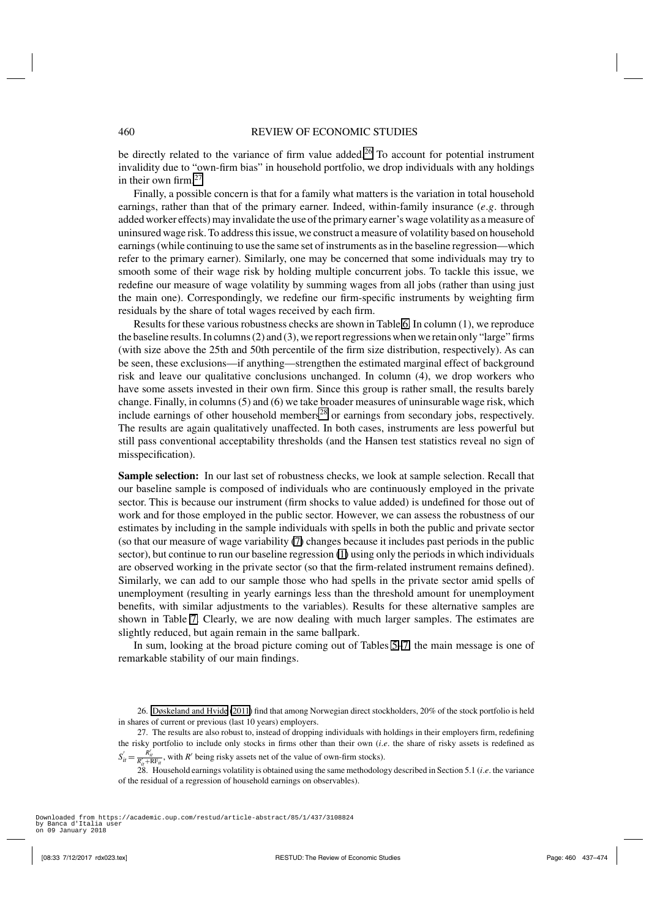be directly related to the variance of firm value added.<sup>26</sup> To account for potential instrument invalidity due to "own-firm bias" in household portfolio, we drop individuals with any holdings in their own firm. $27$ 

Finally, a possible concern is that for a family what matters is the variation in total household earnings, rather than that of the primary earner. Indeed, within-family insurance (*e*.*g*. through added worker effects) may invalidate the use of the primary earner's wage volatility as a measure of uninsured wage risk. To address this issue, we construct a measure of volatility based on household earnings (while continuing to use the same set of instruments as in the baseline regression—which refer to the primary earner). Similarly, one may be concerned that some individuals may try to smooth some of their wage risk by holding multiple concurrent jobs. To tackle this issue, we redefine our measure of wage volatility by summing wages from all jobs (rather than using just the main one). Correspondingly, we redefine our firm-specific instruments by weighting firm residuals by the share of total wages received by each firm.

Results for these various robustness checks are shown in Table [6.](#page-24-0) In column (1), we reproduce the baseline results. In columns (2) and (3), we report regressions when we retain only "large" firms (with size above the 25th and 50th percentile of the firm size distribution, respectively). As can be seen, these exclusions—if anything—strengthen the estimated marginal effect of background risk and leave our qualitative conclusions unchanged. In column (4), we drop workers who have some assets invested in their own firm. Since this group is rather small, the results barely change. Finally, in columns (5) and (6) we take broader measures of uninsurable wage risk, which include earnings of other household members<sup>28</sup> or earnings from secondary jobs, respectively. The results are again qualitatively unaffected. In both cases, instruments are less powerful but still pass conventional acceptability thresholds (and the Hansen test statistics reveal no sign of misspecification).

**Sample selection:** In our last set of robustness checks, we look at sample selection. Recall that our baseline sample is composed of individuals who are continuously employed in the private sector. This is because our instrument (firm shocks to value added) is undefined for those out of work and for those employed in the public sector. However, we can assess the robustness of our estimates by including in the sample individuals with spells in both the public and private sector (so that our measure of wage variability [\(7\)](#page-16-0) changes because it includes past periods in the public sector), but continue to run our baseline regression [\(1\)](#page-5-0) using only the periods in which individuals are observed working in the private sector (so that the firm-related instrument remains defined). Similarly, we can add to our sample those who had spells in the private sector amid spells of unemployment (resulting in yearly earnings less than the threshold amount for unemployment benefits, with similar adjustments to the variables). Results for these alternative samples are shown in Table [7.](#page-25-0) Clearly, we are now dealing with much larger samples. The estimates are slightly reduced, but again remain in the same ballpark.

In sum, looking at the broad picture coming out of Tables [5–](#page-22-0)[7,](#page-25-0) the main message is one of remarkable stability of our main findings.

28. Household earnings volatility is obtained using the same methodology described in Section 5.1 (*i*.*e*. the variance of the residual of a regression of household earnings on observables).

<sup>26.</sup> [Døskeland and Hvide](#page-36-0) [\(2011](#page-36-0)) find that among Norwegian direct stockholders, 20% of the stock portfolio is held in shares of current or previous (last 10 years) employers.

<sup>27.</sup> The results are also robust to, instead of dropping individuals with holdings in their employers firm, redefining the risky portfolio to include only stocks in firms other than their own (*i*.*e*. the share of risky assets is redefined as  $S'_{it} = \frac{R'_{it}}{R'_{it} + RF_{it}}$ , with *R*<sup>*'*</sup> being risky assets net of the value of own-firm stocks).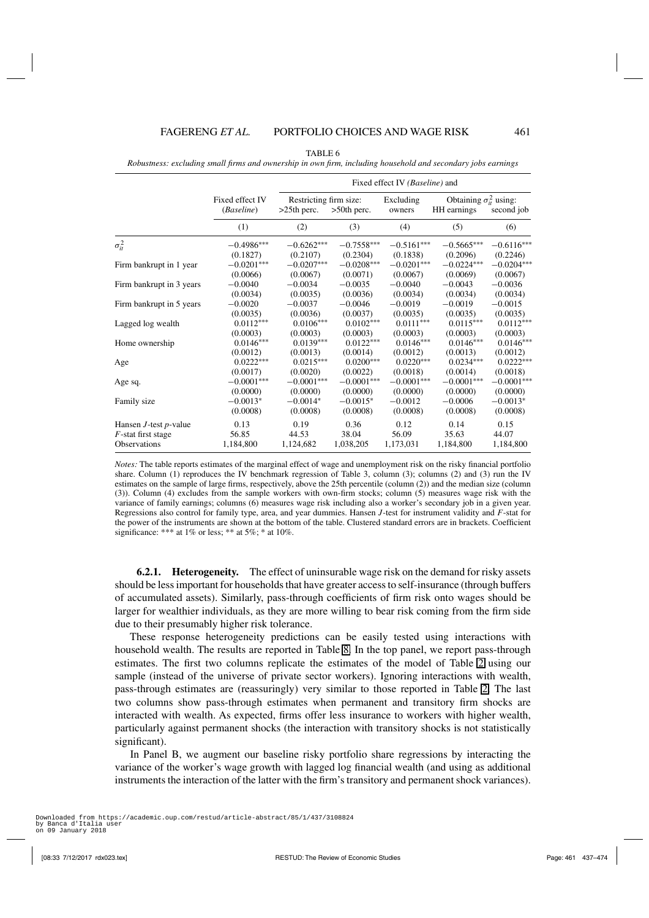<span id="page-24-0"></span>*Robustness: excluding small firms and ownership in own firm, including household and secondary jobs earnings*

|                             |                               | Fixed effect IV (Baseline) and           |                |                     |                                                 |              |
|-----------------------------|-------------------------------|------------------------------------------|----------------|---------------------|-------------------------------------------------|--------------|
|                             | Fixed effect IV<br>(Baseline) | Restricting firm size:<br>$>25$ th perc. | $>50$ th perc. | Excluding<br>owners | Obtaining $\sigma_{it}^2$ using:<br>HH earnings | second job   |
|                             | (1)                           | (2)                                      | (3)            | (4)                 | (5)                                             | (6)          |
| $\sigma_{it}^2$             | $-0.4986***$                  | $-0.6262***$                             | $-0.7558***$   | $-0.5161***$        | $-0.5665***$                                    | $-0.6116***$ |
|                             | (0.1827)                      | (0.2107)                                 | (0.2304)       | (0.1838)            | (0.2096)                                        | (0.2246)     |
| Firm bankrupt in 1 year     | $-0.0201***$                  | $-0.0207***$                             | $-0.0208***$   | $-0.0201***$        | $-0.0224***$                                    | $-0.0204***$ |
|                             | (0.0066)                      | (0.0067)                                 | (0.0071)       | (0.0067)            | (0.0069)                                        | (0.0067)     |
| Firm bankrupt in 3 years    | $-0.0040$                     | $-0.0034$                                | $-0.0035$      | $-0.0040$           | $-0.0043$                                       | $-0.0036$    |
|                             | (0.0034)                      | (0.0035)                                 | (0.0036)       | (0.0034)            | (0.0034)                                        | (0.0034)     |
| Firm bankrupt in 5 years    | $-0.0020$                     | $-0.0037$                                | $-0.0046$      | $-0.0019$           | $-0.0019$                                       | $-0.0015$    |
|                             | (0.0035)                      | (0.0036)                                 | (0.0037)       | (0.0035)            | (0.0035)                                        | (0.0035)     |
| Lagged log wealth           | $0.0112***$                   | $0.0106***$                              | $0.0102***$    | $0.0111***$         | $0.0115***$                                     | $0.0112***$  |
| Home ownership              | (0.0003)                      | (0.0003)                                 | (0.0003)       | (0.0003)            | (0.0003)                                        | (0.0003)     |
|                             | $0.0146***$                   | $0.0139***$                              | $0.0122***$    | $0.0146***$         | $0.0146***$                                     | $0.0146***$  |
| Age                         | (0.0012)                      | (0.0013)                                 | (0.0014)       | (0.0012)            | (0.0013)                                        | (0.0012)     |
|                             | $0.0222***$                   | $0.0215***$                              | $0.0200***$    | $0.0220***$         | $0.0234***$                                     | $0.0222***$  |
| Age sq.                     | (0.0017)                      | (0.0020)                                 | (0.0022)       | (0.0018)            | (0.0014)                                        | (0.0018)     |
|                             | $-0.0001***$                  | $-0.0001***$                             | $-0.0001***$   | $-0.0001***$        | $-0.0001***$                                    | $-0.0001***$ |
| Family size                 | (0.0000)                      | (0.0000)                                 | (0.0000)       | (0.0000)            | (0.0000)                                        | (0.0000)     |
|                             | $-0.0013*$                    | $-0.0014*$                               | $-0.0015*$     | $-0.0012$           | $-0.0006$                                       | $-0.0013*$   |
|                             | (0.0008)                      | (0.0008)                                 | (0.0008)       | (0.0008)            | (0.0008)                                        | (0.0008)     |
| Hansen $J$ -test $p$ -value | 0.13                          | 0.19                                     | 0.36           | 0.12                | 0.14                                            | 0.15         |
| $F$ -stat first stage       | 56.85                         | 44.53                                    | 38.04          | 56.09               | 35.63                                           | 44.07        |
| <b>Observations</b>         | 1,184,800                     | 1,124,682                                | 1,038,205      | 1,173,031           | 1,184,800                                       | 1,184,800    |

*Notes:* The table reports estimates of the marginal effect of wage and unemployment risk on the risky financial portfolio share. Column (1) reproduces the IV benchmark regression of Table 3, column (3); columns (2) and (3) run the IV estimates on the sample of large firms, respectively, above the 25th percentile (column (2)) and the median size (column (3)). Column (4) excludes from the sample workers with own-firm stocks; column (5) measures wage risk with the variance of family earnings; columns (6) measures wage risk including also a worker's secondary job in a given year. Regressions also control for family type, area, and year dummies. Hansen *J*-test for instrument validity and *F*-stat for the power of the instruments are shown at the bottom of the table. Clustered standard errors are in brackets. Coefficient significance: \*\*\* at  $1\%$  or less; \*\* at  $5\%$ ; \* at  $10\%$ .

**6.2.1. Heterogeneity.** The effect of uninsurable wage risk on the demand for risky assets should be less important for households that have greater access to self-insurance (through buffers of accumulated assets). Similarly, pass-through coefficients of firm risk onto wages should be larger for wealthier individuals, as they are more willing to bear risk coming from the firm side due to their presumably higher risk tolerance.

These response heterogeneity predictions can be easily tested using interactions with household wealth. The results are reported in Table [8.](#page-26-0) In the top panel, we report pass-through estimates. The first two columns replicate the estimates of the model of Table [2](#page-15-0) using our sample (instead of the universe of private sector workers). Ignoring interactions with wealth, pass-through estimates are (reassuringly) very similar to those reported in Table [2.](#page-15-0) The last two columns show pass-through estimates when permanent and transitory firm shocks are interacted with wealth. As expected, firms offer less insurance to workers with higher wealth, particularly against permanent shocks (the interaction with transitory shocks is not statistically significant).

In Panel B, we augment our baseline risky portfolio share regressions by interacting the variance of the worker's wage growth with lagged log financial wealth (and using as additional instruments the interaction of the latter with the firm's transitory and permanent shock variances).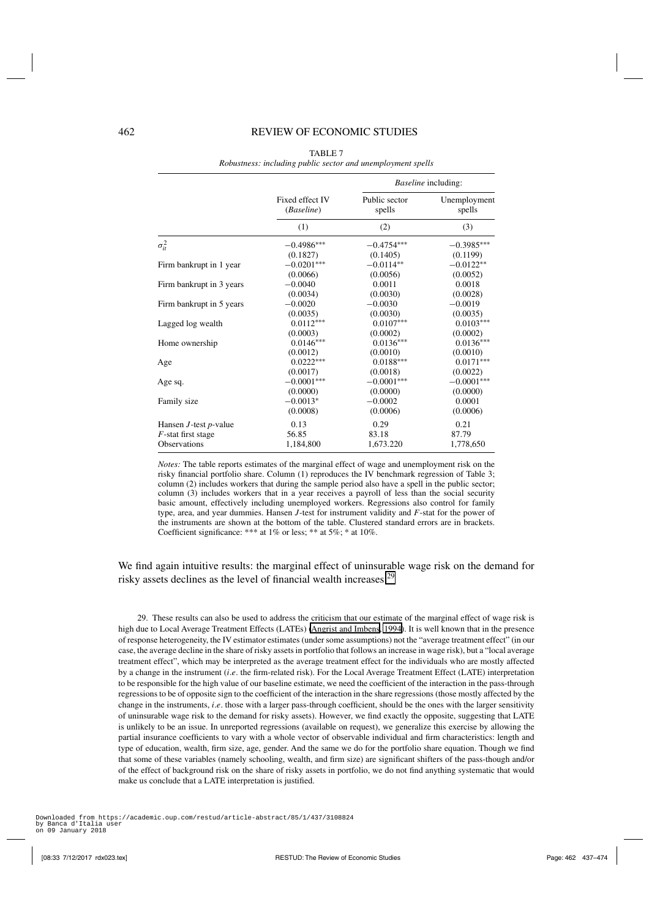<span id="page-25-0"></span>

|                             |                               |                         | <i>Baseline</i> including: |
|-----------------------------|-------------------------------|-------------------------|----------------------------|
|                             | Fixed effect IV<br>(Baseline) | Public sector<br>spells | Unemployment<br>spells     |
|                             | (1)                           | (2)                     | (3)                        |
| $\sigma_{it}^2$             | $-0.4986***$                  | $-0.4754***$            | $-0.3985***$               |
|                             | (0.1827)                      | (0.1405)                | (0.1199)                   |
| Firm bankrupt in 1 year     | $-0.0201***$                  | $-0.0114**$             | $-0.0122**$                |
|                             | (0.0066)                      | (0.0056)                | (0.0052)                   |
| Firm bankrupt in 3 years    | $-0.0040$                     | 0.0011                  | 0.0018                     |
|                             | (0.0034)                      | (0.0030)                | (0.0028)                   |
| Firm bankrupt in 5 years    | $-0.0020$                     | $-0.0030$               | $-0.0019$                  |
|                             | (0.0035)                      | (0.0030)                | (0.0035)                   |
| Lagged log wealth           | $0.0112***$                   | $0.0107***$             | $0.0103***$                |
|                             | (0.0003)                      | (0.0002)                | (0.0002)                   |
| Home ownership              | $0.0146***$                   | $0.0136***$             | $0.0136***$                |
|                             | (0.0012)                      | (0.0010)                | (0.0010)                   |
| Age                         | $0.0222***$                   | $0.0188***$             | $0.0171***$                |
|                             | (0.0017)                      | (0.0018)                | (0.0022)                   |
| Age sq.                     | $-0.0001***$                  | $-0.0001***$            | $-0.0001***$               |
|                             | (0.0000)                      | (0.0000)                | (0.0000)                   |
| Family size                 | $-0.0013*$                    | $-0.0002$               | 0.0001                     |
|                             | (0.0008)                      | (0.0006)                | (0.0006)                   |
| Hansen $J$ -test $p$ -value | 0.13                          | 0.29                    | 0.21                       |
| $F$ -stat first stage       | 56.85                         | 83.18                   | 87.79                      |
| <b>Observations</b>         | 1,184,800                     | 1,673.220               | 1,778,650                  |
|                             |                               |                         |                            |

TABLE 7 *Robustness: including public sector and unemployment spells*

*Notes:* The table reports estimates of the marginal effect of wage and unemployment risk on the risky financial portfolio share. Column (1) reproduces the IV benchmark regression of Table 3; column (2) includes workers that during the sample period also have a spell in the public sector; column (3) includes workers that in a year receives a payroll of less than the social security basic amount, effectively including unemployed workers. Regressions also control for family type, area, and year dummies. Hansen *J*-test for instrument validity and *F*-stat for the power of the instruments are shown at the bottom of the table. Clustered standard errors are in brackets. Coefficient significance: \*\*\* at 1% or less; \*\* at 5%; \* at 10%.

We find again intuitive results: the marginal effect of uninsurable wage risk on the demand for risky assets declines as the level of financial wealth increases.<sup>29</sup>

29. These results can also be used to address the criticism that our estimate of the marginal effect of wage risk is high due to Local Average Treatment Effects (LATEs) [\(Angrist and Imbens](#page-35-0), [1994](#page-35-0)). It is well known that in the presence of response heterogeneity, the IV estimator estimates (under some assumptions) not the "average treatment effect" (in our case, the average decline in the share of risky assets in portfolio that follows an increase in wage risk), but a "local average treatment effect", which may be interpreted as the average treatment effect for the individuals who are mostly affected by a change in the instrument (*i*.*e*. the firm-related risk). For the Local Average Treatment Effect (LATE) interpretation to be responsible for the high value of our baseline estimate, we need the coefficient of the interaction in the pass-through regressions to be of opposite sign to the coefficient of the interaction in the share regressions (those mostly affected by the change in the instruments, *i*.*e*. those with a larger pass-through coefficient, should be the ones with the larger sensitivity of uninsurable wage risk to the demand for risky assets). However, we find exactly the opposite, suggesting that LATE is unlikely to be an issue. In unreported regressions (available on request), we generalize this exercise by allowing the partial insurance coefficients to vary with a whole vector of observable individual and firm characteristics: length and type of education, wealth, firm size, age, gender. And the same we do for the portfolio share equation. Though we find that some of these variables (namely schooling, wealth, and firm size) are significant shifters of the pass-though and/or of the effect of background risk on the share of risky assets in portfolio, we do not find anything systematic that would make us conclude that a LATE interpretation is justified.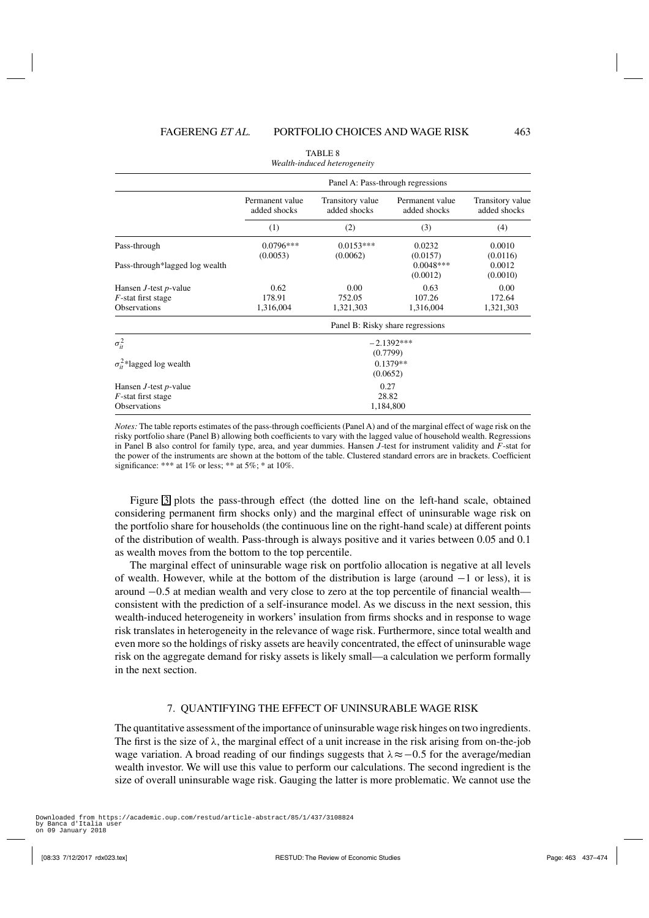<span id="page-26-0"></span>

|                                    | Panel A: Pass-through regressions |                                  |                                 |                                  |  |  |
|------------------------------------|-----------------------------------|----------------------------------|---------------------------------|----------------------------------|--|--|
|                                    | Permanent value<br>added shocks   | Transitory value<br>added shocks | Permanent value<br>added shocks | Transitory value<br>added shocks |  |  |
|                                    | (1)                               | (2)                              | (3)                             | (4)                              |  |  |
| Pass-through                       | $0.0796***$<br>(0.0053)           | $0.0153***$<br>(0.0062)          | 0.0232<br>(0.0157)              | 0.0010<br>(0.0116)               |  |  |
| Pass-through*lagged log wealth     |                                   |                                  | $0.0048***$<br>(0.0012)         | 0.0012<br>(0.0010)               |  |  |
| Hansen $J$ -test $p$ -value        | 0.62                              | 0.00                             | 0.63                            | 0.00                             |  |  |
| $F$ -stat first stage              | 178.91                            | 752.05                           | 107.26                          | 172.64                           |  |  |
| <b>Observations</b>                | 1,316,004                         | 1,321,303                        | 1,316,004                       | 1,321,303                        |  |  |
|                                    | Panel B: Risky share regressions  |                                  |                                 |                                  |  |  |
| $\sigma_{it}^2$                    | $-2.1392***$<br>(0.7799)          |                                  |                                 |                                  |  |  |
| $\sigma_{it}^2$ *lagged log wealth | $0.1379**$<br>(0.0652)            |                                  |                                 |                                  |  |  |
| Hansen $J$ -test $p$ -value        |                                   |                                  | 0.27                            |                                  |  |  |
| $F$ -stat first stage              |                                   |                                  | 28.82                           |                                  |  |  |
| <b>Observations</b>                |                                   |                                  | 1,184,800                       |                                  |  |  |

| TABLE 8                      |  |
|------------------------------|--|
| Wealth-induced heterogeneity |  |

*Notes:* The table reports estimates of the pass-through coefficients (Panel A) and of the marginal effect of wage risk on the risky portfolio share (Panel B) allowing both coefficients to vary with the lagged value of household wealth. Regressions in Panel B also control for family type, area, and year dummies. Hansen *J*-test for instrument validity and *F*-stat for the power of the instruments are shown at the bottom of the table. Clustered standard errors are in brackets. Coefficient significance: \*\*\* at  $1\%$  or less; \*\* at  $5\%;$  \* at  $10\%$ .

Figure [3](#page-27-0) plots the pass-through effect (the dotted line on the left-hand scale, obtained considering permanent firm shocks only) and the marginal effect of uninsurable wage risk on the portfolio share for households (the continuous line on the right-hand scale) at different points of the distribution of wealth. Pass-through is always positive and it varies between 0.05 and 0.1 as wealth moves from the bottom to the top percentile.

The marginal effect of uninsurable wage risk on portfolio allocation is negative at all levels of wealth. However, while at the bottom of the distribution is large (around −1 or less), it is around −0.5 at median wealth and very close to zero at the top percentile of financial wealth consistent with the prediction of a self-insurance model. As we discuss in the next session, this wealth-induced heterogeneity in workers' insulation from firms shocks and in response to wage risk translates in heterogeneity in the relevance of wage risk. Furthermore, since total wealth and even more so the holdings of risky assets are heavily concentrated, the effect of uninsurable wage risk on the aggregate demand for risky assets is likely small—a calculation we perform formally in the next section.

# 7. QUANTIFYING THE EFFECT OF UNINSURABLE WAGE RISK

The quantitative assessment of the importance of uninsurable wage risk hinges on two ingredients. The first is the size of  $\lambda$ , the marginal effect of a unit increase in the risk arising from on-the-job wage variation. A broad reading of our findings suggests that  $\lambda \approx -0.5$  for the average/median wealth investor. We will use this value to perform our calculations. The second ingredient is the size of overall uninsurable wage risk. Gauging the latter is more problematic. We cannot use the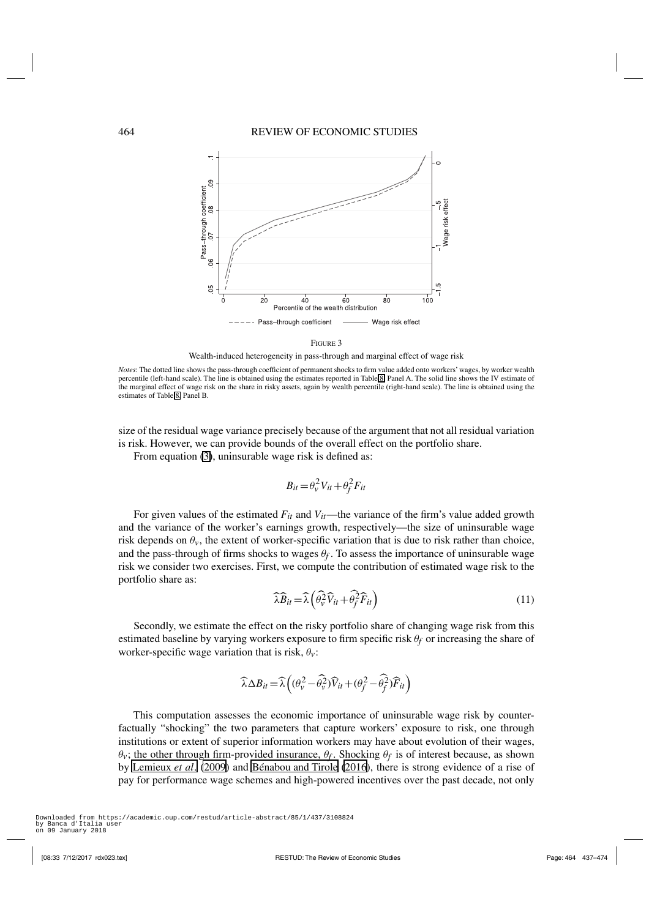<span id="page-27-0"></span>

FIGURE 3

Wealth-induced heterogeneity in pass-through and marginal effect of wage risk

*Notes*: The dotted line shows the pass-through coefficient of permanent shocks to firm value added onto workers' wages, by worker wealth percentile (left-hand scale). The line is obtained using the estimates reported in Table [8,](#page-26-0) Panel A. The solid line shows the IV estimate of the marginal effect of wage risk on the share in risky assets, again by wealth percentile (right-hand scale). The line is obtained using the estimates of Table [8,](#page-26-0) Panel B.

size of the residual wage variance precisely because of the argument that not all residual variation is risk. However, we can provide bounds of the overall effect on the portfolio share.

From equation [\(3\)](#page-6-0), uninsurable wage risk is defined as:

$$
B_{it} = \theta_v^2 V_{it} + \theta_f^2 F_{it}
$$

For given values of the estimated  $F_{it}$  and  $V_{it}$ —the variance of the firm's value added growth and the variance of the worker's earnings growth, respectively—the size of uninsurable wage risk depends on  $\theta_v$ , the extent of worker-specific variation that is due to risk rather than choice, and the pass-through of firms shocks to wages  $\theta_f$ . To assess the importance of uninsurable wage risk we consider two exercises. First, we compute the contribution of estimated wage risk to the portfolio share as:

$$
\widehat{\lambda}\widehat{B}_{it} = \widehat{\lambda}\left(\widehat{\theta}_{\nu}^{2}\widehat{V}_{it} + \widehat{\theta}_{f}^{2}\widehat{F}_{it}\right)
$$
\n(11)

Secondly, we estimate the effect on the risky portfolio share of changing wage risk from this estimated baseline by varying workers exposure to firm specific risk θ*f* or increasing the share of worker-specific wage variation that is risk,  $\theta$ <sup>v</sup>:

$$
\widehat{\lambda} \Delta B_{it} = \widehat{\lambda} \left( (\theta_v^2 - \widehat{\theta_v^2}) \widehat{V}_{it} + (\theta_f^2 - \widehat{\theta_f^2}) \widehat{F}_{it} \right)
$$

This computation assesses the economic importance of uninsurable wage risk by counterfactually "shocking" the two parameters that capture workers' exposure to risk, one through institutions or extent of superior information workers may have about evolution of their wages,  $\theta$ <sup>*v*</sup>; the other through firm-provided insurance,  $\theta$ <sup>*f*</sup>. Shocking  $\theta$ <sup>*f*</sup> is of interest because, as shown by [Lemieux](#page-37-0) *et al*. [\(2009](#page-37-0)) and [Bénabou and Tirole](#page-35-0) [\(2016](#page-35-0)), there is strong evidence of a rise of pay for performance wage schemes and high-powered incentives over the past decade, not only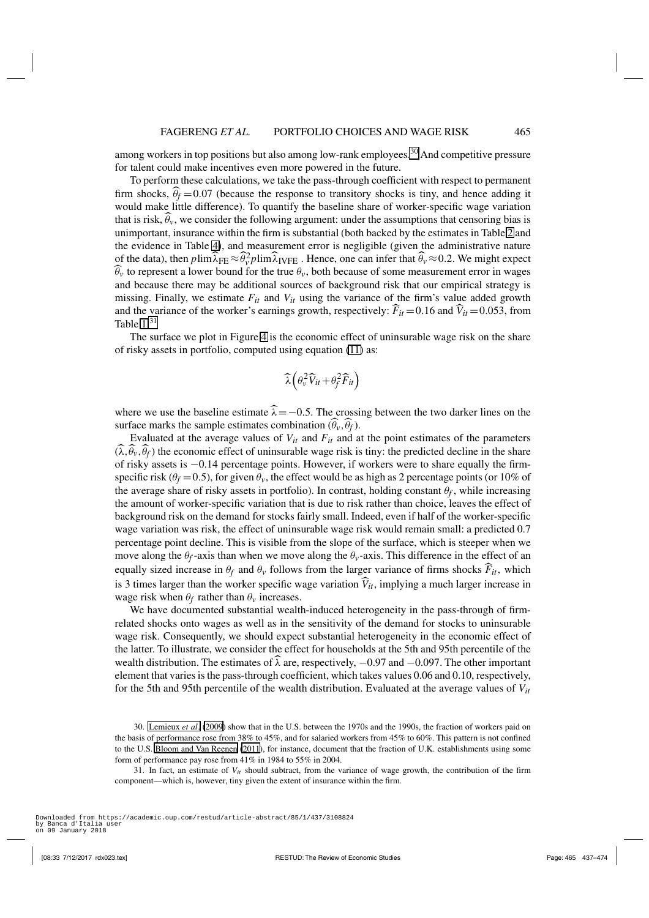among workers in top positions but also among low-rank employees.<sup>30</sup> And competitive pressure for talent could make incentives even more powered in the future.

To perform these calculations, we take the pass-through coefficient with respect to permanent firm shocks,  $\theta_f = 0.07$  (because the response to transitory shocks is tiny, and hence adding it would make little difference). To quantify the baseline share of worker-specific wage variation that is risk,  $\theta_v$ , we consider the following argument: under the assumptions that censoring bias is unimportant, insurance within the firm is substantial (both backed by the estimates in Table [2](#page-15-0) and the evidence in Table [4\)](#page-20-0), and measurement error is negligible (given the administrative nature of the data), then  $p \lim_{\lambda} \lambda_{\text{FE}} \approx \theta_v^2 p \lim_{\lambda} \lambda_{\text{IVFE}}$ . Hence, one can infer that  $\widehat{\theta}_v \approx 0.2$ . We might expect  $\theta$ <sup>*v*</sup> to represent a lower bound for the true  $\theta$ <sup>*v*</sup>, both because of some measurement error in wages and because there may be additional sources of background risk that our empirical strategy is missing. Finally, we estimate  $F_{it}$  and  $V_{it}$  using the variance of the firm's value added growth and the variance of the worker's earnings growth, respectively:  $\vec{F}_{it} = 0.16$  and  $\vec{V}_{it} = 0.053$ , from Table  $1<sup>31</sup>$ 

The surface we plot in Figure [4](#page-29-0) is the economic effect of uninsurable wage risk on the share of risky assets in portfolio, computed using equation [\(11\)](#page-27-0) as:

$$
\widehat{\lambda}\left(\theta_{v}^{2}\widehat{V}_{it}+\theta_{f}^{2}\widehat{F}_{it}\right)
$$

where we use the baseline estimate  $\lambda = -0.5$ . The crossing between the two darker lines on the surface marks the sample estimates combination  $(\theta_v, \theta_f)$ .

Evaluated at the average values of  $V_{it}$  and  $F_{it}$  and at the point estimates of the parameters  $(\lambda, \theta_v, \theta_f)$  the economic effect of uninsurable wage risk is tiny: the predicted decline in the share of risky assets is −0.14 percentage points. However, if workers were to share equally the firmspecific risk ( $\theta_f$  = 0.5), for given  $\theta_v$ , the effect would be as high as 2 percentage points (or 10% of the average share of risky assets in portfolio). In contrast, holding constant  $\theta_f$ , while increasing the amount of worker-specific variation that is due to risk rather than choice, leaves the effect of background risk on the demand for stocks fairly small. Indeed, even if half of the worker-specific wage variation was risk, the effect of uninsurable wage risk would remain small: a predicted 0.7 percentage point decline. This is visible from the slope of the surface, which is steeper when we move along the  $\theta_f$ -axis than when we move along the  $\theta_v$ -axis. This difference in the effect of an equally sized increase in  $\theta_f$  and  $\theta_v$  follows from the larger variance of firms shocks  $F_{it}$ , which is 3 times larger than the worker specific wage variation  $V_{it}$ , implying a much larger increase in wage risk when  $\theta_f$  rather than  $\theta_v$  increases.

We have documented substantial wealth-induced heterogeneity in the pass-through of firmrelated shocks onto wages as well as in the sensitivity of the demand for stocks to uninsurable wage risk. Consequently, we should expect substantial heterogeneity in the economic effect of the latter. To illustrate, we consider the effect for households at the 5th and 95th percentile of the wealth distribution. The estimates of  $\lambda$  are, respectively,  $-0.97$  and  $-0.097$ . The other important element that varies is the pass-through coefficient, which takes values 0.06 and 0.10, respectively, for the 5th and 95th percentile of the wealth distribution. Evaluated at the average values of *Vit*

31. In fact, an estimate of  $V_{it}$  should subtract, from the variance of wage growth, the contribution of the firm component—which is, however, tiny given the extent of insurance within the firm.

<sup>30.</sup> [Lemieux](#page-37-0) *et al*. [\(2009\)](#page-37-0) show that in the U.S. between the 1970s and the 1990s, the fraction of workers paid on the basis of performance rose from 38% to 45%, and for salaried workers from 45% to 60%. This pattern is not confined to the U.S. [Bloom and Van Reenen](#page-35-0) [\(2011\)](#page-35-0), for instance, document that the fraction of U.K. establishments using some form of performance pay rose from 41% in 1984 to 55% in 2004.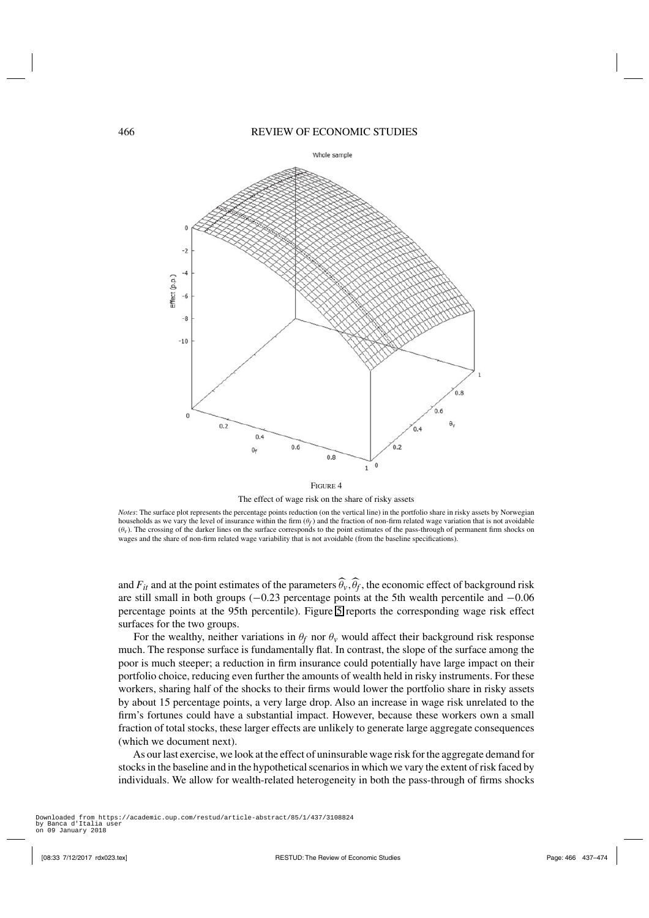# <span id="page-29-0"></span>466 REVIEW OF ECONOMIC STUDIES



FIGURE 4 The effect of wage risk on the share of risky assets

*Notes*: The surface plot represents the percentage points reduction (on the vertical line) in the portfolio share in risky assets by Norwegian households as we vary the level of insurance within the firm  $(\theta_f)$  and the fraction of non-firm related wage variation that is not avoidable  $(\theta_v)$ . The crossing of the darker lines on the surface corresponds to the point estimates of the pass-through of permanent firm shocks on wages and the share of non-firm related wage variability that is not avoidable (from the baseline specifications).

and  $F_{it}$  and at the point estimates of the parameters  $\theta_v$ ,  $\theta_f$ , the economic effect of background risk are still small in both groups (−0.23 percentage points at the 5th wealth percentile and −0.06 percentage points at the 95th percentile). Figure [5](#page-30-0) reports the corresponding wage risk effect surfaces for the two groups.

For the wealthy, neither variations in  $\theta_f$  nor  $\theta_\nu$  would affect their background risk response much. The response surface is fundamentally flat. In contrast, the slope of the surface among the poor is much steeper; a reduction in firm insurance could potentially have large impact on their portfolio choice, reducing even further the amounts of wealth held in risky instruments. For these workers, sharing half of the shocks to their firms would lower the portfolio share in risky assets by about 15 percentage points, a very large drop. Also an increase in wage risk unrelated to the firm's fortunes could have a substantial impact. However, because these workers own a small fraction of total stocks, these larger effects are unlikely to generate large aggregate consequences (which we document next).

As our last exercise, we look at the effect of uninsurable wage risk for the aggregate demand for stocks in the baseline and in the hypothetical scenarios in which we vary the extent of risk faced by individuals. We allow for wealth-related heterogeneity in both the pass-through of firms shocks

on 09 January 2018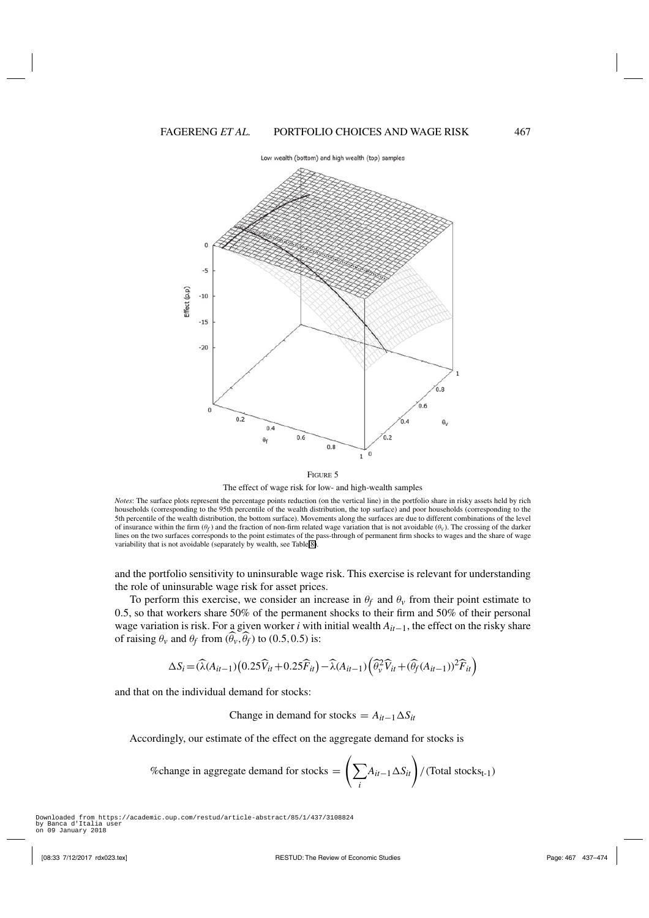Low wealth (bottom) and high wealth (top) samples

<span id="page-30-0"></span>

The effect of wage risk for low- and high-wealth samples

*Notes*: The surface plots represent the percentage points reduction (on the vertical line) in the portfolio share in risky assets held by rich households (corresponding to the 95th percentile of the wealth distribution, the top surface) and poor households (corresponding to the 5th percentile of the wealth distribution, the bottom surface). Movements along the surfaces are due to different combinations of the level of insurance within the firm  $(\theta_f)$  and the fraction of non-firm related wage variation that is not avoidable  $(\theta_v)$ . The crossing of the darker lines on the two surfaces corresponds to the point estimates of the pass-through of permanent firm shocks to wages and the share of wage variability that is not avoidable (separately by wealth, see Table [8\)](#page-26-0).

and the portfolio sensitivity to uninsurable wage risk. This exercise is relevant for understanding the role of uninsurable wage risk for asset prices.

To perform this exercise, we consider an increase in  $\theta_f$  and  $\theta_v$  from their point estimate to 0.5, so that workers share 50% of the permanent shocks to their firm and 50% of their personal wage variation is risk. For a given worker *i* with initial wealth *Ait*−1, the effect on the risky share of raising  $\theta_v$  and  $\theta_f$  from  $(\theta_v, \theta_f)$  to  $(0.5, 0.5)$  is:

$$
\Delta S_i = (\widehat{\lambda}(A_{it-1})(0.25\widehat{V}_{it} + 0.25\widehat{F}_{it}) - \widehat{\lambda}(A_{it-1})\left(\widehat{\theta}_v^2\widehat{V}_{it} + (\widehat{\theta}_f(A_{it-1}))^2\widehat{F}_{it}\right)
$$

and that on the individual demand for stocks:

Change in demand for stocks =  $A_{it-1} \Delta S_{it}$ 

Accordingly, our estimate of the effect on the aggregate demand for stocks is

<sup>7</sup> fochange in aggregate demand for stocks = 
$$
\left(\sum_{i} A_{it-1} \Delta S_{it}\right) / (\text{Total stocks}_{t-1})
$$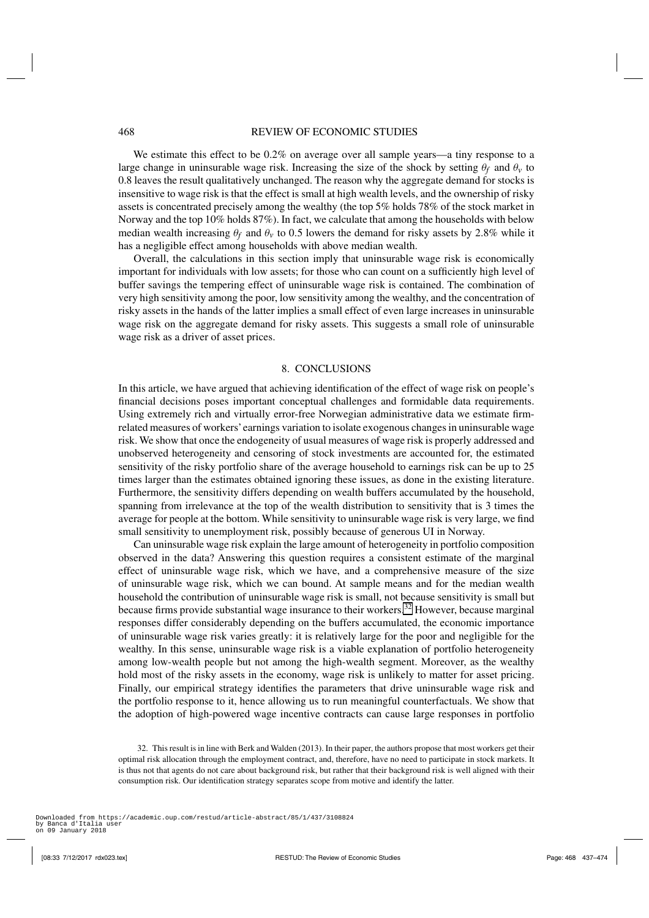<span id="page-31-0"></span>We estimate this effect to be  $0.2\%$  on average over all sample years—a tiny response to a large change in uninsurable wage risk. Increasing the size of the shock by setting  $\theta_f$  and  $\theta_v$  to 0.8 leaves the result qualitatively unchanged. The reason why the aggregate demand for stocks is insensitive to wage risk is that the effect is small at high wealth levels, and the ownership of risky assets is concentrated precisely among the wealthy (the top 5% holds 78% of the stock market in Norway and the top 10% holds 87%). In fact, we calculate that among the households with below median wealth increasing  $\theta_f$  and  $\theta_\nu$  to 0.5 lowers the demand for risky assets by 2.8% while it has a negligible effect among households with above median wealth.

Overall, the calculations in this section imply that uninsurable wage risk is economically important for individuals with low assets; for those who can count on a sufficiently high level of buffer savings the tempering effect of uninsurable wage risk is contained. The combination of very high sensitivity among the poor, low sensitivity among the wealthy, and the concentration of risky assets in the hands of the latter implies a small effect of even large increases in uninsurable wage risk on the aggregate demand for risky assets. This suggests a small role of uninsurable wage risk as a driver of asset prices.

# 8. CONCLUSIONS

In this article, we have argued that achieving identification of the effect of wage risk on people's financial decisions poses important conceptual challenges and formidable data requirements. Using extremely rich and virtually error-free Norwegian administrative data we estimate firmrelated measures of workers'earnings variation to isolate exogenous changes in uninsurable wage risk. We show that once the endogeneity of usual measures of wage risk is properly addressed and unobserved heterogeneity and censoring of stock investments are accounted for, the estimated sensitivity of the risky portfolio share of the average household to earnings risk can be up to 25 times larger than the estimates obtained ignoring these issues, as done in the existing literature. Furthermore, the sensitivity differs depending on wealth buffers accumulated by the household, spanning from irrelevance at the top of the wealth distribution to sensitivity that is 3 times the average for people at the bottom. While sensitivity to uninsurable wage risk is very large, we find small sensitivity to unemployment risk, possibly because of generous UI in Norway.

Can uninsurable wage risk explain the large amount of heterogeneity in portfolio composition observed in the data? Answering this question requires a consistent estimate of the marginal effect of uninsurable wage risk, which we have, and a comprehensive measure of the size of uninsurable wage risk, which we can bound. At sample means and for the median wealth household the contribution of uninsurable wage risk is small, not because sensitivity is small but because firms provide substantial wage insurance to their workers.<sup>32</sup> However, because marginal responses differ considerably depending on the buffers accumulated, the economic importance of uninsurable wage risk varies greatly: it is relatively large for the poor and negligible for the wealthy. In this sense, uninsurable wage risk is a viable explanation of portfolio heterogeneity among low-wealth people but not among the high-wealth segment. Moreover, as the wealthy hold most of the risky assets in the economy, wage risk is unlikely to matter for asset pricing. Finally, our empirical strategy identifies the parameters that drive uninsurable wage risk and the portfolio response to it, hence allowing us to run meaningful counterfactuals. We show that the adoption of high-powered wage incentive contracts can cause large responses in portfolio

<sup>32.</sup> This result is in line with Berk and Walden (2013). In their paper, the authors propose that most workers get their optimal risk allocation through the employment contract, and, therefore, have no need to participate in stock markets. It is thus not that agents do not care about background risk, but rather that their background risk is well aligned with their consumption risk. Our identification strategy separates scope from motive and identify the latter.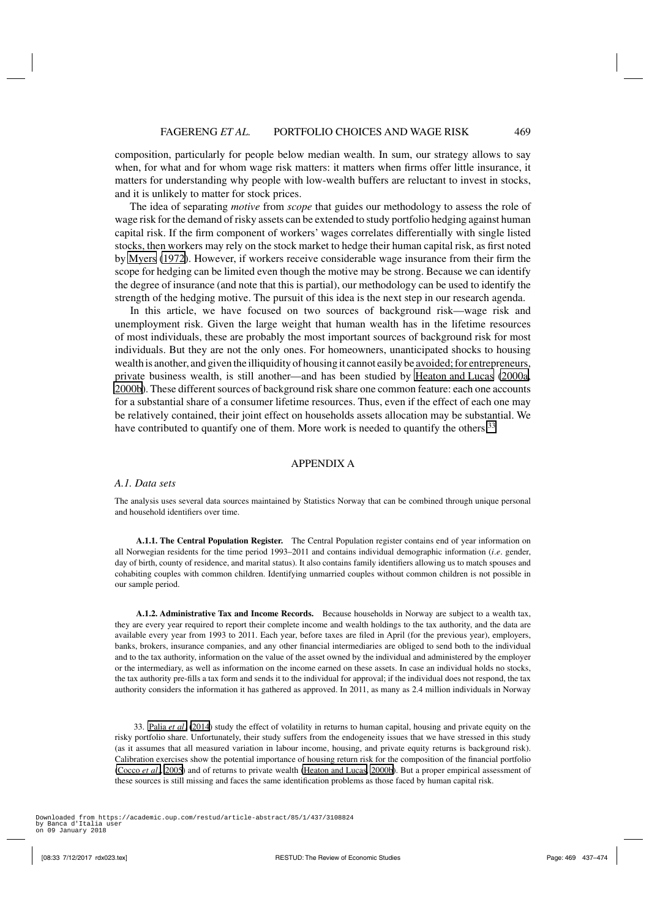composition, particularly for people below median wealth. In sum, our strategy allows to say when, for what and for whom wage risk matters: it matters when firms offer little insurance, it matters for understanding why people with low-wealth buffers are reluctant to invest in stocks, and it is unlikely to matter for stock prices.

The idea of separating *motive* from *scope* that guides our methodology to assess the role of wage risk for the demand of risky assets can be extended to study portfolio hedging against human capital risk. If the firm component of workers' wages correlates differentially with single listed stocks, then workers may rely on the stock market to hedge their human capital risk, as first noted by [Myers](#page-37-0) [\(1972\)](#page-37-0). However, if workers receive considerable wage insurance from their firm the scope for hedging can be limited even though the motive may be strong. Because we can identify the degree of insurance (and note that this is partial), our methodology can be used to identify the strength of the hedging motive. The pursuit of this idea is the next step in our research agenda.

In this article, we have focused on two sources of background risk—wage risk and unemployment risk. Given the large weight that human wealth has in the lifetime resources of most individuals, these are probably the most important sources of background risk for most individuals. But they are not the only ones. For homeowners, unanticipated shocks to housing wealth is another, and given the illiquidity of housing it cannot easily be avoided; for entrepreneurs, private business wealth, is still another—and has been studied by [Heaton and Lucas](#page-36-0) [\(2000a](#page-36-0), [2000b](#page-36-0)). These different sources of background risk share one common feature: each one accounts for a substantial share of a consumer lifetime resources. Thus, even if the effect of each one may be relatively contained, their joint effect on households assets allocation may be substantial. We have contributed to quantify one of them. More work is needed to quantify the others.<sup>33</sup>

# APPENDIX A

## *A.1. Data sets*

The analysis uses several data sources maintained by Statistics Norway that can be combined through unique personal and household identifiers over time.

**A.1.1. The Central Population Register.** The Central Population register contains end of year information on all Norwegian residents for the time period 1993–2011 and contains individual demographic information (*i*.*e*. gender, day of birth, county of residence, and marital status). It also contains family identifiers allowing us to match spouses and cohabiting couples with common children. Identifying unmarried couples without common children is not possible in our sample period.

**A.1.2. Administrative Tax and Income Records.** Because households in Norway are subject to a wealth tax, they are every year required to report their complete income and wealth holdings to the tax authority, and the data are available every year from 1993 to 2011. Each year, before taxes are filed in April (for the previous year), employers, banks, brokers, insurance companies, and any other financial intermediaries are obliged to send both to the individual and to the tax authority, information on the value of the asset owned by the individual and administered by the employer or the intermediary, as well as information on the income earned on these assets. In case an individual holds no stocks, the tax authority pre-fills a tax form and sends it to the individual for approval; if the individual does not respond, the tax authority considers the information it has gathered as approved. In 2011, as many as 2.4 million individuals in Norway

33. [Palia](#page-37-0) *et al*. [\(2014](#page-37-0)) study the effect of volatility in returns to human capital, housing and private equity on the risky portfolio share. Unfortunately, their study suffers from the endogeneity issues that we have stressed in this study (as it assumes that all measured variation in labour income, housing, and private equity returns is background risk). Calibration exercises show the potential importance of housing return risk for the composition of the financial portfolio [\(Cocco](#page-36-0) *et al*., [2005\)](#page-36-0) and of returns to private wealth [\(Heaton and Lucas](#page-36-0), [2000b\)](#page-36-0). But a proper empirical assessment of these sources is still missing and faces the same identification problems as those faced by human capital risk.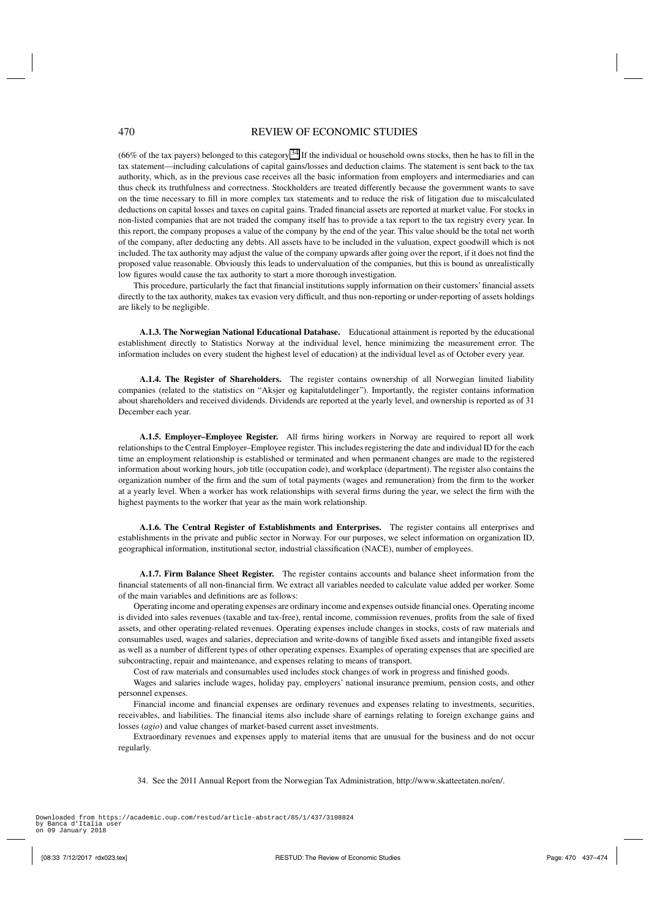(66% of the tax payers) belonged to this category.<sup>34</sup> If the individual or household owns stocks, then he has to fill in the tax statement—including calculations of capital gains/losses and deduction claims. The statement is sent back to the tax authority, which, as in the previous case receives all the basic information from employers and intermediaries and can thus check its truthfulness and correctness. Stockholders are treated differently because the government wants to save on the time necessary to fill in more complex tax statements and to reduce the risk of litigation due to miscalculated deductions on capital losses and taxes on capital gains. Traded financial assets are reported at market value. For stocks in non-listed companies that are not traded the company itself has to provide a tax report to the tax registry every year. In this report, the company proposes a value of the company by the end of the year. This value should be the total net worth of the company, after deducting any debts. All assets have to be included in the valuation, expect goodwill which is not included. The tax authority may adjust the value of the company upwards after going over the report, if it does not find the proposed value reasonable. Obviously this leads to undervaluation of the companies, but this is bound as unrealistically low figures would cause the tax authority to start a more thorough investigation.

This procedure, particularly the fact that financial institutions supply information on their customers' financial assets directly to the tax authority, makes tax evasion very difficult, and thus non-reporting or under-reporting of assets holdings are likely to be negligible.

**A.1.3. The Norwegian National Educational Database.** Educational attainment is reported by the educational establishment directly to Statistics Norway at the individual level, hence minimizing the measurement error. The information includes on every student the highest level of education) at the individual level as of October every year.

**A.1.4. The Register of Shareholders.** The register contains ownership of all Norwegian limited liability companies (related to the statistics on "Aksjer og kapitalutdelinger"). Importantly, the register contains information about shareholders and received dividends. Dividends are reported at the yearly level, and ownership is reported as of 31 December each year.

**A.1.5. Employer–Employee Register.** All firms hiring workers in Norway are required to report all work relationships to the Central Employer–Employee register. This includes registering the date and individual ID for the each time an employment relationship is established or terminated and when permanent changes are made to the registered information about working hours, job title (occupation code), and workplace (department). The register also contains the organization number of the firm and the sum of total payments (wages and remuneration) from the firm to the worker at a yearly level. When a worker has work relationships with several firms during the year, we select the firm with the highest payments to the worker that year as the main work relationship.

**A.1.6. The Central Register of Establishments and Enterprises.** The register contains all enterprises and establishments in the private and public sector in Norway. For our purposes, we select information on organization ID, geographical information, institutional sector, industrial classification (NACE), number of employees.

**A.1.7. Firm Balance Sheet Register.** The register contains accounts and balance sheet information from the financial statements of all non-financial firm. We extract all variables needed to calculate value added per worker. Some of the main variables and definitions are as follows:

Operating income and operating expenses are ordinary income and expenses outside financial ones. Operating income is divided into sales revenues (taxable and tax-free), rental income, commission revenues, profits from the sale of fixed assets, and other operating-related revenues. Operating expenses include changes in stocks, costs of raw materials and consumables used, wages and salaries, depreciation and write-downs of tangible fixed assets and intangible fixed assets as well as a number of different types of other operating expenses. Examples of operating expenses that are specified are subcontracting, repair and maintenance, and expenses relating to means of transport.

Cost of raw materials and consumables used includes stock changes of work in progress and finished goods.

Wages and salaries include wages, holiday pay, employers' national insurance premium, pension costs, and other personnel expenses.

Financial income and financial expenses are ordinary revenues and expenses relating to investments, securities, receivables, and liabilities. The financial items also include share of earnings relating to foreign exchange gains and losses (*agio*) and value changes of market-based current asset investments.

Extraordinary revenues and expenses apply to material items that are unusual for the business and do not occur regularly.

34. See the 2011 Annual Report from the Norwegian Tax Administration, http://www.skatteetaten.no/en/.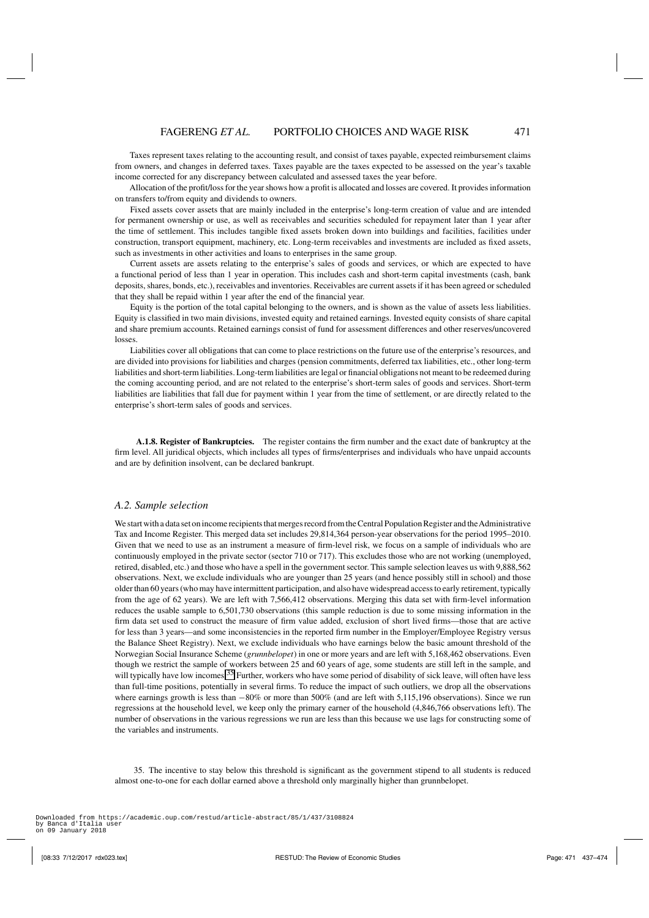Taxes represent taxes relating to the accounting result, and consist of taxes payable, expected reimbursement claims from owners, and changes in deferred taxes. Taxes payable are the taxes expected to be assessed on the year's taxable income corrected for any discrepancy between calculated and assessed taxes the year before.

Allocation of the profit/loss for the year shows how a profit is allocated and losses are covered. It provides information on transfers to/from equity and dividends to owners.

Fixed assets cover assets that are mainly included in the enterprise's long-term creation of value and are intended for permanent ownership or use, as well as receivables and securities scheduled for repayment later than 1 year after the time of settlement. This includes tangible fixed assets broken down into buildings and facilities, facilities under construction, transport equipment, machinery, etc. Long-term receivables and investments are included as fixed assets, such as investments in other activities and loans to enterprises in the same group.

Current assets are assets relating to the enterprise's sales of goods and services, or which are expected to have a functional period of less than 1 year in operation. This includes cash and short-term capital investments (cash, bank deposits, shares, bonds, etc.), receivables and inventories. Receivables are current assets if it has been agreed or scheduled that they shall be repaid within 1 year after the end of the financial year.

Equity is the portion of the total capital belonging to the owners, and is shown as the value of assets less liabilities. Equity is classified in two main divisions, invested equity and retained earnings. Invested equity consists of share capital and share premium accounts. Retained earnings consist of fund for assessment differences and other reserves/uncovered losses.

Liabilities cover all obligations that can come to place restrictions on the future use of the enterprise's resources, and are divided into provisions for liabilities and charges (pension commitments, deferred tax liabilities, etc., other long-term liabilities and short-term liabilities. Long-term liabilities are legal or financial obligations not meant to be redeemed during the coming accounting period, and are not related to the enterprise's short-term sales of goods and services. Short-term liabilities are liabilities that fall due for payment within 1 year from the time of settlement, or are directly related to the enterprise's short-term sales of goods and services.

**A.1.8. Register of Bankruptcies.** The register contains the firm number and the exact date of bankruptcy at the firm level. All juridical objects, which includes all types of firms/enterprises and individuals who have unpaid accounts and are by definition insolvent, can be declared bankrupt.

# *A.2. Sample selection*

We start with a data set on income recipients that merges record from the Central Population Register and the Administrative Tax and Income Register. This merged data set includes 29,814,364 person-year observations for the period 1995–2010. Given that we need to use as an instrument a measure of firm-level risk, we focus on a sample of individuals who are continuously employed in the private sector (sector 710 or 717). This excludes those who are not working (unemployed, retired, disabled, etc.) and those who have a spell in the government sector. This sample selection leaves us with 9,888,562 observations. Next, we exclude individuals who are younger than 25 years (and hence possibly still in school) and those older than 60 years (who may have intermittent participation, and also have widespread access to early retirement, typically from the age of 62 years). We are left with 7,566,412 observations. Merging this data set with firm-level information reduces the usable sample to 6,501,730 observations (this sample reduction is due to some missing information in the firm data set used to construct the measure of firm value added, exclusion of short lived firms—those that are active for less than 3 years—and some inconsistencies in the reported firm number in the Employer/Employee Registry versus the Balance Sheet Registry). Next, we exclude individuals who have earnings below the basic amount threshold of the Norwegian Social Insurance Scheme (*grunnbelopet*) in one or more years and are left with 5,168,462 observations. Even though we restrict the sample of workers between 25 and 60 years of age, some students are still left in the sample, and will typically have low incomes.<sup>35</sup> Further, workers who have some period of disability of sick leave, will often have less than full-time positions, potentially in several firms. To reduce the impact of such outliers, we drop all the observations where earnings growth is less than −80% or more than 500% (and are left with 5,115,196 observations). Since we run regressions at the household level, we keep only the primary earner of the household (4,846,766 observations left). The number of observations in the various regressions we run are less than this because we use lags for constructing some of the variables and instruments.

35. The incentive to stay below this threshold is significant as the government stipend to all students is reduced almost one-to-one for each dollar earned above a threshold only marginally higher than grunnbelopet.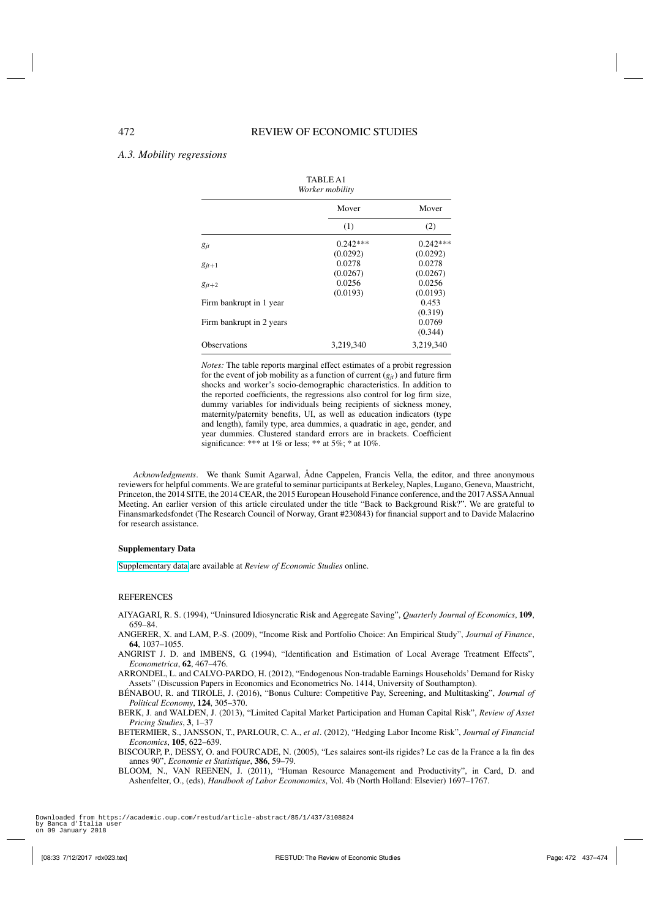TABLE A1

## <span id="page-35-0"></span>*A.3. Mobility regressions*

| Worker mobility          |            |            |
|--------------------------|------------|------------|
|                          | Mover      | Mover      |
|                          | (1)        | (2)        |
| $g_{jt}$                 | $0.242***$ | $0.242***$ |
|                          | (0.0292)   | (0.0292)   |
| $g_{it+1}$               | 0.0278     | 0.0278     |
|                          | (0.0267)   | (0.0267)   |
| $g_{jt+2}$               | 0.0256     | 0.0256     |
|                          | (0.0193)   | (0.0193)   |
| Firm bankrupt in 1 year  |            | 0.453      |
|                          |            | (0.319)    |
| Firm bankrupt in 2 years |            | 0.0769     |
|                          |            | (0.344)    |
| <b>Observations</b>      | 3.219.340  | 3.219.340  |

*Notes:* The table reports marginal effect estimates of a probit regression for the event of job mobility as a function of current  $(g_{it})$  and future firm shocks and worker's socio-demographic characteristics. In addition to the reported coefficients, the regressions also control for log firm size, dummy variables for individuals being recipients of sickness money, maternity/paternity benefits, UI, as well as education indicators (type and length), family type, area dummies, a quadratic in age, gender, and year dummies. Clustered standard errors are in brackets. Coefficient significance: \*\*\* at 1% or less; \*\* at 5%; \* at 10%.

*Acknowledgments*. We thank Sumit Agarwal, Ådne Cappelen, Francis Vella, the editor, and three anonymous reviewers for helpful comments. We are grateful to seminar participants at Berkeley, Naples, Lugano, Geneva, Maastricht, Princeton, the 2014 SITE, the 2014 CEAR, the 2015 European Household Finance conference, and the 2017 ASSAAnnual Meeting. An earlier version of this article circulated under the title "Back to Background Risk?". We are grateful to Finansmarkedsfondet (The Research Council of Norway, Grant #230843) for financial support and to Davide Malacrino for research assistance.

### **Supplementary Data**

[Supplementary data](http://restud.oxfordjournals.org/lookup/suppl/doi:10.1093/restud/rdx023/-/DC1) are available at *Review of Economic Studies* online.

### REFERENCES

- AIYAGARI, R. S. (1994), "Uninsured Idiosyncratic Risk and Aggregate Saving", *Quarterly Journal of Economics*, **109**, 659–84.
- ANGERER, X. and LAM, P.-S. (2009), "Income Risk and Portfolio Choice: An Empirical Study", *Journal of Finance*, **64**, 1037–1055.
- ANGRIST J. D. and IMBENS, G. (1994), "Identification and Estimation of Local Average Treatment Effects", *Econometrica*, **62**, 467–476.
- ARRONDEL, L. and CALVO-PARDO, H. (2012), "Endogenous Non-tradable Earnings Households' Demand for Risky Assets" (Discussion Papers in Economics and Econometrics No. 1414, University of Southampton).
- BÉNABOU, R. and TIROLE, J. (2016), "Bonus Culture: Competitive Pay, Screening, and Multitasking", *Journal of Political Economy*, **124**, 305–370.
- BERK, J. and WALDEN, J. (2013), "Limited Capital Market Participation and Human Capital Risk", *Review of Asset Pricing Studies*, **3**, 1–37
- BETERMIER, S., JANSSON, T., PARLOUR, C. A., *et al*. (2012), "Hedging Labor Income Risk", *Journal of Financial Economics*, **105**, 622–639.
- BISCOURP, P., DESSY, O. and FOURCADE, N. (2005), "Les salaires sont-ils rigides? Le cas de la France a la fin des annes 90", *Economie et Statistique*, **386**, 59–79.
- BLOOM, N., VAN REENEN, J. (2011), "Human Resource Management and Productivity", in Card, D. and Ashenfelter, O., (eds), *Handbook of Labor Econonomics*, Vol. 4b (North Holland: Elsevier) 1697–1767.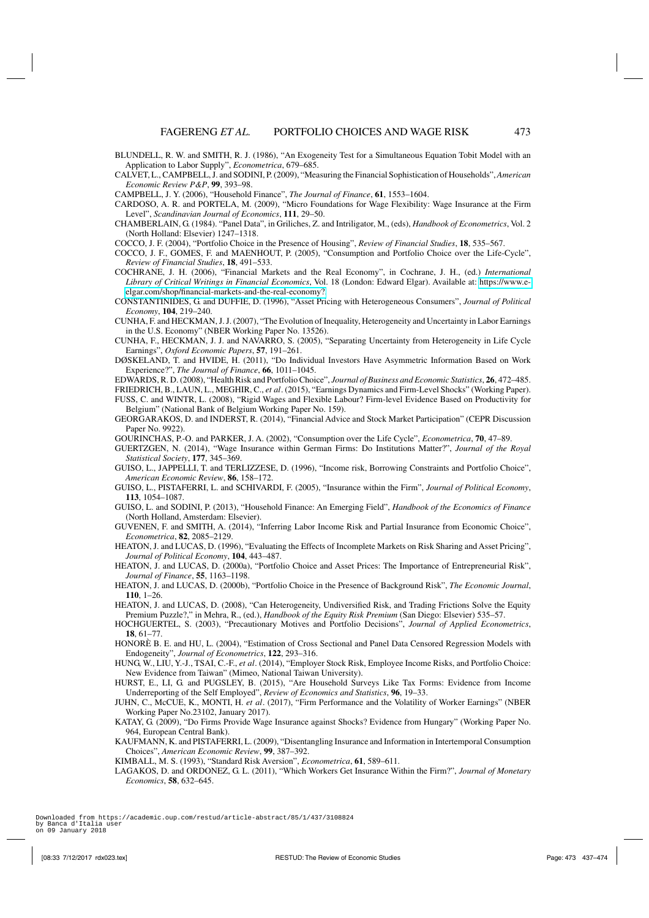- <span id="page-36-0"></span>BLUNDELL, R. W. and SMITH, R. J. (1986), "An Exogeneity Test for a Simultaneous Equation Tobit Model with an Application to Labor Supply", *Econometrica*, 679–685.
- CALVET, L., CAMPBELL, J. and SODINI, P. (2009), "Measuring the Financial Sophistication of Households",*American Economic Review P&P*, **99**, 393–98.
- CAMPBELL, J. Y. (2006), "Household Finance", *The Journal of Finance*, **61**, 1553–1604.
- CARDOSO, A. R. and PORTELA, M. (2009), "Micro Foundations for Wage Flexibility: Wage Insurance at the Firm Level", *Scandinavian Journal of Economics*, **111**, 29–50.
- CHAMBERLAIN, G. (1984). "Panel Data", in Griliches, Z. and Intriligator, M., (eds), *Handbook of Econometrics*, Vol. 2 (North Holland: Elsevier) 1247–1318.
- COCCO, J. F. (2004), "Portfolio Choice in the Presence of Housing", *Review of Financial Studies*, **18**, 535–567.
- COCCO, J. F., GOMES, F. and MAENHOUT, P. (2005), "Consumption and Portfolio Choice over the Life-Cycle", *Review of Financial Studies*, **18**, 491–533.
- COCHRANE, J. H. (2006), "Financial Markets and the Real Economy", in Cochrane, J. H., (ed.) *International Library of Critical Writings in Financial Economics*, Vol. 18 (London: Edward Elgar). Available at: [https://www.e](https://www.e-elgar.com/shop/financial-markets-and-the-real-economy?)[elgar.com/shop/financial-markets-and-the-real-economy?.](https://www.e-elgar.com/shop/financial-markets-and-the-real-economy?)
- CONSTANTINIDES, G. and DUFFIE, D. (1996), "Asset Pricing with Heterogeneous Consumers", *Journal of Political Economy*, **104**, 219–240.
- CUNHA, F. and HECKMAN, J. J. (2007), "The Evolution of Inequality, Heterogeneity and Uncertainty in Labor Earnings in the U.S. Economy" (NBER Working Paper No. 13526).
- CUNHA, F., HECKMAN, J. J. and NAVARRO, S. (2005), "Separating Uncertainty from Heterogeneity in Life Cycle Earnings", *Oxford Economic Papers*, **57**, 191–261.
- DØSKELAND, T. and HVIDE, H. (2011), "Do Individual Investors Have Asymmetric Information Based on Work Experience?", *The Journal of Finance*, **66**, 1011–1045.
- EDWARDS, R. D. (2008), "Health Risk and Portfolio Choice", *Journal of Business and Economic Statistics*, **26**, 472–485.
- FRIEDRICH, B., LAUN, L., MEGHIR, C., *et al*. (2015), "Earnings Dynamics and Firm-Level Shocks" (Working Paper).
- FUSS, C. and WINTR, L. (2008), "Rigid Wages and Flexible Labour? Firm-level Evidence Based on Productivity for Belgium" (National Bank of Belgium Working Paper No. 159).
- GEORGARAKOS, D. and INDERST, R. (2014), "Financial Advice and Stock Market Participation" (CEPR Discussion Paper No. 9922).
- GOURINCHAS, P.-O. and PARKER, J. A. (2002), "Consumption over the Life Cycle", *Econometrica*, **70**, 47–89.
- GUERTZGEN, N. (2014), "Wage Insurance within German Firms: Do Institutions Matter?", *Journal of the Royal Statistical Society*, **177**, 345–369.
- GUISO, L., JAPPELLI, T. and TERLIZZESE, D. (1996), "Income risk, Borrowing Constraints and Portfolio Choice", *American Economic Review*, **86**, 158–172.
- GUISO, L., PISTAFERRI, L. and SCHIVARDI, F. (2005), "Insurance within the Firm", *Journal of Political Economy*, **113**, 1054–1087.
- GUISO, L. and SODINI, P. (2013), "Household Finance: An Emerging Field", *Handbook of the Economics of Finance* (North Holland, Amsterdam: Elsevier).
- GUVENEN, F. and SMITH, A. (2014), "Inferring Labor Income Risk and Partial Insurance from Economic Choice", *Econometrica*, **82**, 2085–2129.
- HEATON, J. and LUCAS, D. (1996), "Evaluating the Effects of Incomplete Markets on Risk Sharing and Asset Pricing", *Journal of Political Economy*, **104**, 443–487.
- HEATON, J. and LUCAS, D. (2000a), "Portfolio Choice and Asset Prices: The Importance of Entrepreneurial Risk", *Journal of Finance*, **55**, 1163–1198.
- HEATON, J. and LUCAS, D. (2000b), "Portfolio Choice in the Presence of Background Risk", *The Economic Journal*, **110**, 1–26.
- HEATON, J. and LUCAS, D. (2008), "Can Heterogeneity, Undiversified Risk, and Trading Frictions Solve the Equity Premium Puzzle?," in Mehra, R., (ed.), *Handbook of the Equity Risk Premium* (San Diego: Elsevier) 535–57.
- HOCHGUERTEL, S. (2003), "Precautionary Motives and Portfolio Decisions", *Journal of Applied Econometrics*, **18**, 61–77.
- HONORÈ B. E. and HU, L. (2004), "Estimation of Cross Sectional and Panel Data Censored Regression Models with Endogeneity", *Journal of Econometrics*, **122**, 293–316.
- HUNG, W., LIU, Y.-J., TSAI, C.-F., *et al*. (2014), "Employer Stock Risk, Employee Income Risks, and Portfolio Choice: New Evidence from Taiwan" (Mimeo, National Taiwan University).
- HURST, E., LI, G. and PUGSLEY, B. (2015), "Are Household Surveys Like Tax Forms: Evidence from Income Underreporting of the Self Employed", *Review of Economics and Statistics*, **96**, 19–33.
- JUHN, C., McCUE, K., MONTI, H. *et al*. (2017), "Firm Performance and the Volatility of Worker Earnings" (NBER Working Paper No.23102, January 2017).
- KATAY, G. (2009), "Do Firms Provide Wage Insurance against Shocks? Evidence from Hungary" (Working Paper No. 964, European Central Bank).
- KAUFMANN, K. and PISTAFERRI, L. (2009), "Disentangling Insurance and Information in Intertemporal Consumption Choices", *American Economic Review*, **99**, 387–392.
- KIMBALL, M. S. (1993), "Standard Risk Aversion", *Econometrica*, **61**, 589–611.
- LAGAKOS, D. and ORDONEZ, G. L. (2011), "Which Workers Get Insurance Within the Firm?", *Journal of Monetary Economics*, **58**, 632–645.